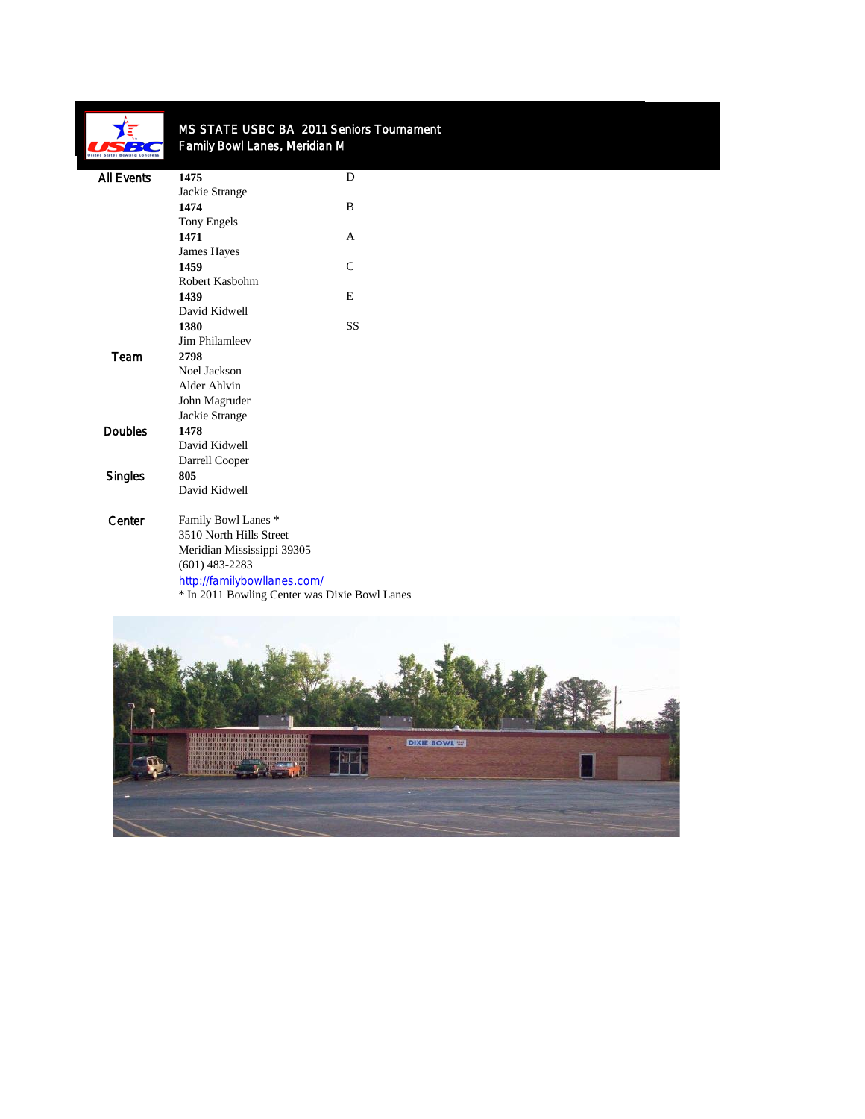

## MS STATE USBC BA 2011 Seniors Tournament Family Bowl Lanes, Meridian M

| <b>All Events</b> | 1475                                          | D            |
|-------------------|-----------------------------------------------|--------------|
|                   | Jackie Strange                                |              |
|                   | 1474                                          | B            |
|                   | Tony Engels                                   |              |
|                   | 1471                                          | A            |
|                   | James Hayes                                   |              |
|                   | 1459                                          | $\mathsf{C}$ |
|                   | Robert Kasbohm                                |              |
|                   | 1439                                          | E            |
|                   | David Kidwell                                 |              |
|                   | 1380                                          | <b>SS</b>    |
|                   | Jim Philamleev                                |              |
| Team              | 2798                                          |              |
|                   | Noel Jackson                                  |              |
|                   | Alder Ahlvin                                  |              |
|                   | John Magruder                                 |              |
|                   | Jackie Strange                                |              |
| <b>Doubles</b>    | 1478                                          |              |
|                   | David Kidwell                                 |              |
|                   | Darrell Cooper                                |              |
| <b>Singles</b>    | 805                                           |              |
|                   | David Kidwell                                 |              |
| Center            | Family Bowl Lanes *                           |              |
|                   | 3510 North Hills Street                       |              |
|                   | Meridian Mississippi 39305                    |              |
|                   | $(601)$ 483-2283                              |              |
|                   | http://familybowllanes.com/                   |              |
|                   | * In 2011 Bowling Center was Dixie Bowl Lanes |              |
|                   |                                               |              |

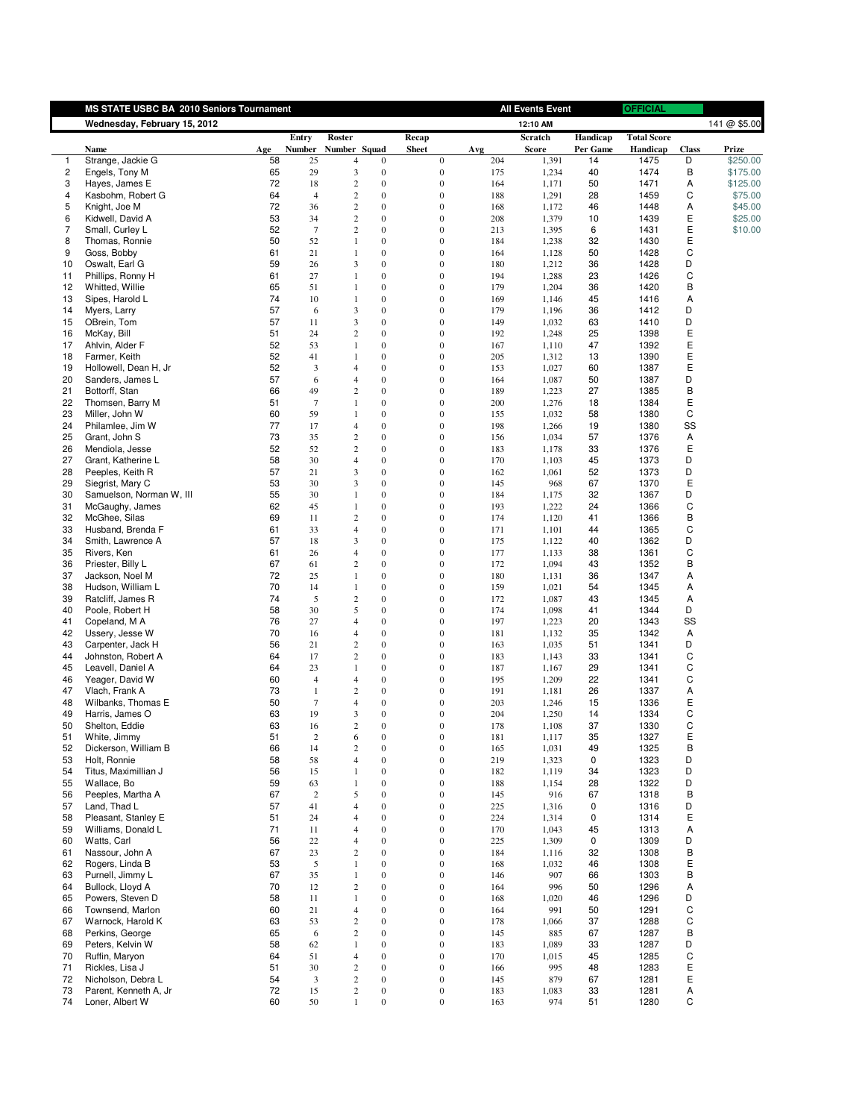|                         | MS STATE USBC BA 2010 Seniors Tournament |          |                  |                  |                              |                                      |            | <b>All Events Event</b> |             | <b>OFFICIAL</b>    |              |              |
|-------------------------|------------------------------------------|----------|------------------|------------------|------------------------------|--------------------------------------|------------|-------------------------|-------------|--------------------|--------------|--------------|
|                         | Wednesday, February 15, 2012             |          |                  |                  |                              |                                      |            | 12:10 AM                |             |                    |              | 141 @ \$5.00 |
|                         |                                          |          | Entry            | Roster           |                              | Recap                                |            | Scratch                 | Handicap    | <b>Total Score</b> |              |              |
|                         | Name                                     | Age      | <b>Number</b>    | Number Squad     |                              | <b>Sheet</b>                         | Avg        | <b>Score</b>            | Per Game    | Handicap           | <b>Class</b> | Prize        |
| 1                       | Strange, Jackie G                        | 58       | 25               | 4                | $\mathbf{0}$                 | 0                                    | 204        | 1,391                   | 14          | 1475               | D            | \$250.00     |
| $\overline{\mathbf{c}}$ | Engels, Tony M                           | 65       | 29               | 3                | $\boldsymbol{0}$             | $\boldsymbol{0}$                     | 175        | 1,234                   | 40          | 1474               | В            | \$175.00     |
| 3                       | Hayes, James E                           | 72       | 18               | $\overline{c}$   | $\boldsymbol{0}$             | $\boldsymbol{0}$                     | 164        | 1,171                   | 50          | 1471               | Α            | \$125.00     |
| 4                       | Kasbohm, Robert G                        | 64       | $\overline{4}$   | $\overline{c}$   | $\mathbf{0}$                 | $\boldsymbol{0}$                     | 188        | 1,291                   | 28          | 1459               | С            | \$75.00      |
| 5                       | Knight, Joe M                            | 72       | 36               | 2                | $\boldsymbol{0}$             | $\boldsymbol{0}$                     | 168        | 1,172                   | 46          | 1448               | Α            | \$45.00      |
| 6                       | Kidwell, David A                         | 53       | 34               | $\overline{c}$   | $\boldsymbol{0}$             | $\boldsymbol{0}$                     | 208        | 1,379                   | 10          | 1439               | Ε            | \$25.00      |
| 7                       | Small, Curley L                          | 52       | $\tau$           | 2                | $\mathbf{0}$                 | $\boldsymbol{0}$                     | 213        | 1,395                   | 6           | 1431               | Ε            | \$10.00      |
| 8                       | Thomas, Ronnie                           | 50       | 52               | 1                | $\boldsymbol{0}$             | $\boldsymbol{0}$                     | 184        | 1,238                   | 32          | 1430               | Ε            |              |
| 9                       | Goss, Bobby                              | 61       | 21               | 1                | $\boldsymbol{0}$             | $\boldsymbol{0}$                     | 164        | 1,128                   | 50          | 1428               | С<br>D       |              |
| 10                      | Oswalt, Earl G                           | 59       | 26               | 3                | $\mathbf{0}$                 | $\boldsymbol{0}$                     | 180        | 1,212                   | 36          | 1428               |              |              |
| 11                      | Phillips, Ronny H                        | 61       | 27               | $\mathbf{1}$     | $\boldsymbol{0}$             | $\boldsymbol{0}$                     | 194        | 1,288                   | 23          | 1426               | C<br>B       |              |
| 12                      | Whitted, Willie                          | 65<br>74 | 51               | 1                | $\mathbf{0}$<br>$\mathbf{0}$ | $\boldsymbol{0}$<br>$\boldsymbol{0}$ | 179        | 1,204                   | 36          | 1420               |              |              |
| 13<br>14                | Sipes, Harold L<br>Myers, Larry          | 57       | 10<br>6          | 1<br>3           | $\boldsymbol{0}$             | $\boldsymbol{0}$                     | 169<br>179 | 1,146<br>1,196          | 45<br>36    | 1416<br>1412       | Α<br>D       |              |
| 15                      | OBrein, Tom                              | 57       | 11               | 3                | $\boldsymbol{0}$             | $\boldsymbol{0}$                     | 149        | 1,032                   | 63          | 1410               | D            |              |
|                         |                                          | 51       | 24               | 2                | $\mathbf{0}$                 | $\boldsymbol{0}$                     | 192        |                         | 25          | 1398               | E            |              |
| 16<br>17                | McKay, Bill                              | 52       | 53               | 1                | $\boldsymbol{0}$             | $\boldsymbol{0}$                     | 167        | 1,248                   | 47          | 1392               | Ε            |              |
| 18                      | Ahlvin, Alder F<br>Farmer, Keith         | 52       | 41               | 1                | $\boldsymbol{0}$             | $\boldsymbol{0}$                     | 205        | 1,110<br>1,312          | 13          | 1390               | Ε            |              |
| 19                      | Hollowell, Dean H, Jr                    | 52       | 3                | $\overline{4}$   | $\boldsymbol{0}$             | $\boldsymbol{0}$                     | 153        | 1,027                   | 60          | 1387               | Ε            |              |
|                         |                                          | 57       | 6                | $\overline{4}$   | $\boldsymbol{0}$             | $\boldsymbol{0}$                     | 164        |                         |             | 1387               | D            |              |
| 20<br>21                | Sanders, James L<br>Bottorff, Stan       | 66       | 49               | 2                | $\mathbf{0}$                 | $\boldsymbol{0}$                     | 189        | 1,087<br>1,223          | 50<br>27    | 1385               | B            |              |
| 22                      | Thomsen, Barry M                         | 51       | $7\phantom{.0}$  | 1                | $\boldsymbol{0}$             | $\boldsymbol{0}$                     | 200        | 1,276                   | 18          | 1384               | Ε            |              |
| 23                      | Miller, John W                           | 60       | 59               | 1                | $\boldsymbol{0}$             | $\boldsymbol{0}$                     | 155        | 1,032                   | 58          | 1380               | С            |              |
| 24                      | Philamlee, Jim W                         | 77       | 17               | $\overline{4}$   | $\mathbf{0}$                 | $\boldsymbol{0}$                     | 198        | 1,266                   | 19          | 1380               | SS           |              |
| 25                      | Grant, John S                            | 73       | 35               | 2                | $\boldsymbol{0}$             | $\boldsymbol{0}$                     | 156        | 1,034                   | 57          | 1376               | Α            |              |
| 26                      | Mendiola, Jesse                          | 52       | 52               | 2                | $\mathbf{0}$                 | $\boldsymbol{0}$                     | 183        | 1,178                   | 33          | 1376               | Ε            |              |
| 27                      | Grant, Katherine L                       | 58       | 30               | $\overline{4}$   | $\boldsymbol{0}$             | $\boldsymbol{0}$                     | 170        | 1,103                   | 45          | 1373               | D            |              |
| 28                      | Peeples, Keith R                         | 57       | 21               | 3                | $\mathbf{0}$                 | $\boldsymbol{0}$                     | 162        | 1,061                   | 52          | 1373               | D            |              |
| 29                      | Siegrist, Mary C                         | 53       | 30               | 3                | $\mathbf{0}$                 | $\boldsymbol{0}$                     | 145        | 968                     | 67          | 1370               | E            |              |
| 30                      | Samuelson, Norman W, III                 | 55       | 30               | 1                | $\boldsymbol{0}$             | $\boldsymbol{0}$                     | 184        | 1,175                   | 32          | 1367               | D            |              |
| 31                      | McGaughy, James                          | 62       | 45               | 1                | $\boldsymbol{0}$             | $\boldsymbol{0}$                     | 193        | 1,222                   | 24          | 1366               | С            |              |
| 32                      | McGhee, Silas                            | 69       | 11               | 2                | $\mathbf{0}$                 | $\boldsymbol{0}$                     | 174        | 1,120                   | 41          | 1366               | B            |              |
| 33                      | Husband, Brenda F                        | 61       | 33               | 4                | $\boldsymbol{0}$             | $\boldsymbol{0}$                     | 171        | 1,101                   | 44          | 1365               | С            |              |
| 34                      | Smith, Lawrence A                        | 57       | 18               | 3                | $\boldsymbol{0}$             | $\boldsymbol{0}$                     | 175        | 1,122                   | 40          | 1362               | D            |              |
| 35                      | Rivers, Ken                              | 61       | 26               | $\overline{4}$   | $\mathbf{0}$                 | $\boldsymbol{0}$                     | 177        | 1,133                   | 38          | 1361               | С            |              |
| 36                      | Priester, Billy L                        | 67       | 61               | 2                | $\mathbf{0}$                 | $\boldsymbol{0}$                     | 172        | 1,094                   | 43          | 1352               | B            |              |
| 37                      | Jackson, Noel M                          | 72       | 25               | 1                | $\mathbf{0}$                 | $\boldsymbol{0}$                     | 180        | 1,131                   | 36          | 1347               | Α            |              |
| 38                      | Hudson, William L                        | 70       | 14               | 1                | $\boldsymbol{0}$             | $\boldsymbol{0}$                     | 159        | 1,021                   | 54          | 1345               | Α            |              |
| 39                      | Ratcliff, James R                        | 74       | 5                | 2                | $\boldsymbol{0}$             | $\boldsymbol{0}$                     | 172        | 1,087                   | 43          | 1345               | Α            |              |
| 40                      | Poole, Robert H                          | 58       | 30               | 5                | $\boldsymbol{0}$             | $\boldsymbol{0}$                     | 174        | 1,098                   | 41          | 1344               | D            |              |
| 41                      | Copeland, M A                            | 76       | 27               | $\overline{4}$   | $\boldsymbol{0}$             | $\boldsymbol{0}$                     | 197        | 1,223                   | 20          | 1343               | SS           |              |
| 42                      | Ussery, Jesse W                          | 70       | 16               | $\overline{4}$   | $\boldsymbol{0}$             | $\boldsymbol{0}$                     | 181        | 1,132                   | 35          | 1342               | Α            |              |
| 43                      | Carpenter, Jack H                        | 56       | 21               | $\boldsymbol{2}$ | $\mathbf{0}$                 | $\boldsymbol{0}$                     | 163        | 1,035                   | 51          | 1341               | D            |              |
| 44                      | Johnston, Robert A                       | 64       | 17               | 2                | $\boldsymbol{0}$             | $\boldsymbol{0}$                     | 183        | 1,143                   | 33          | 1341               | C            |              |
| 45                      | Leavell, Daniel A                        | 64       | 23               | 1                | $\boldsymbol{0}$             | $\boldsymbol{0}$                     | 187        | 1,167                   | 29          | 1341               | С            |              |
| 46                      | Yeager, David W                          | 60       | $\overline{4}$   | $\overline{4}$   | $\mathbf{0}$                 | $\boldsymbol{0}$                     | 195        | 1,209                   | 22          | 1341               | С            |              |
| 47                      | Vlach, Frank A                           | 73       | 1                | 2                | $\boldsymbol{0}$             | $\boldsymbol{0}$                     | 191        | 1,181                   | 26          | 1337               | Α            |              |
| 48                      | Wilbanks, Thomas E                       | 50       | $\boldsymbol{7}$ | $\overline{4}$   | $\mathbf{0}$                 | $\boldsymbol{0}$                     | 203        | 1,246                   | 15          | 1336               | Ε            |              |
| 49                      | Harris, James O                          | 63       | 19               | 3                | $\boldsymbol{0}$             | $\boldsymbol{0}$                     | 204        | 1,250                   | 14          | 1334               | C            |              |
| 50                      | Shelton, Eddie                           | 63       | 16               | $\overline{c}$   | $\boldsymbol{0}$             | $\boldsymbol{0}$                     | 178        | 1,108                   | 37          | 1330               | C            |              |
| 51                      | White, Jimmy                             | 51       | 2                | 6                | $\boldsymbol{\theta}$        | 0                                    | 181        | 1,117                   | 35          | 1327               | E            |              |
| 52                      | Dickerson, William B                     | 66       | 14               | $\boldsymbol{2}$ | $\boldsymbol{0}$             | $\boldsymbol{0}$                     | 165        | 1,031                   | 49          | 1325               | В            |              |
| 53                      | Holt, Ronnie                             | 58       | 58               | $\overline{4}$   | $\boldsymbol{0}$             | $\boldsymbol{0}$                     | 219        | 1,323                   | 0           | 1323               | D            |              |
| 54                      | Titus, Maximillian J                     | 56       | 15               | 1                | $\boldsymbol{0}$             | $\boldsymbol{0}$                     | 182        | 1,119                   | 34          | 1323               | D            |              |
| 55                      | Wallace, Bo                              | 59       | 63               | 1                | $\mathbf{0}$                 | $\boldsymbol{0}$                     | 188        | 1,154                   | 28          | 1322               | D            |              |
| 56                      | Peeples, Martha A                        | 67       | $\sqrt{2}$       | 5                | $\boldsymbol{0}$             | $\boldsymbol{0}$                     | 145        | 916                     | 67          | 1318               | B            |              |
| 57                      | Land, Thad L                             | 57       | 41               | 4                | $\mathbf{0}$                 | $\boldsymbol{0}$                     | 225        | 1,316                   | 0           | 1316               | D            |              |
| 58                      | Pleasant, Stanley E                      | 51       | 24               | 4                | $\mathbf{0}$                 | $\boldsymbol{0}$                     | 224        | 1,314                   | $\mathbf 0$ | 1314               | Ε            |              |
| 59                      | Williams, Donald L                       | 71       | 11               | 4                | $\mathbf{0}$                 | $\boldsymbol{0}$                     | 170        | 1,043                   | 45          | 1313               | Α            |              |
| 60                      | Watts, Carl                              | 56       | 22               | $\overline{4}$   | $\boldsymbol{0}$             | $\boldsymbol{0}$                     | 225        | 1,309                   | 0           | 1309               | D            |              |
| 61                      | Nassour, John A                          | 67       | 23               | $\mathbf{2}$     | $\boldsymbol{0}$             | $\boldsymbol{0}$                     | 184        | 1,116                   | 32          | 1308               | B            |              |
| 62                      | Rogers, Linda B                          | 53       | $\sqrt{5}$       | 1                | $\boldsymbol{0}$             | $\boldsymbol{0}$                     | 168        | 1,032                   | 46          | 1308               | Ε            |              |
| 63                      | Purnell, Jimmy L                         | 67       | 35               | 1                | $\mathbf{0}$                 | $\boldsymbol{0}$                     | 146        | 907                     | 66          | 1303               | В            |              |
| 64                      | Bullock, Lloyd A                         | 70       | 12               | 2                | $\boldsymbol{0}$             | $\boldsymbol{0}$                     | 164        | 996                     | 50          | 1296               | Α            |              |
| 65                      | Powers, Steven D                         | 58       | 11               | $\mathbf{1}$     | $\boldsymbol{0}$             | $\boldsymbol{0}$                     | 168        | 1,020                   | 46          | 1296               | D            |              |
| 66                      | Townsend, Marlon                         | 60       | 21               | $\overline{4}$   | $\mathbf{0}$                 | $\boldsymbol{0}$                     | 164        | 991                     | 50          | 1291               | С            |              |
| 67                      | Warnock, Harold K                        | 63       | 53               | $\overline{c}$   | $\boldsymbol{0}$             | $\boldsymbol{0}$                     | 178        | 1,066                   | 37          | 1288               | С            |              |
| 68                      | Perkins, George                          | 65       | 6                | $\overline{c}$   | $\boldsymbol{0}$             | $\boldsymbol{0}$                     | 145        | 885                     | 67          | 1287               | B            |              |
| 69                      | Peters, Kelvin W                         | 58       | 62               | $\mathbf{1}$     | $\boldsymbol{0}$             | $\boldsymbol{0}$                     | 183        | 1,089                   | 33          | 1287               | D            |              |
| 70                      | Ruffin, Maryon                           | 64       | 51               | $\overline{4}$   | $\mathbf{0}$                 | $\boldsymbol{0}$                     | 170        | 1,015                   | 45          | 1285               | С            |              |
| 71                      | Rickles, Lisa J                          | 51       | 30               | $\boldsymbol{2}$ | $\mathbf{0}$                 | $\boldsymbol{0}$                     | 166        | 995                     | 48          | 1283               | E            |              |
| 72                      | Nicholson, Debra L                       | 54       | 3                | $\sqrt{2}$       | $\mathbf{0}$                 | $\boldsymbol{0}$                     | 145        | 879                     | 67          | 1281               | Ε            |              |
| 73                      | Parent, Kenneth A, Jr                    | 72       | 15               | $\sqrt{2}$       | $\boldsymbol{0}$             | $\boldsymbol{0}$                     | 183        | 1,083                   | 33          | 1281               | А            |              |
| 74                      | Loner, Albert W                          | 60       | 50               | $\mathbf{1}$     | $\mathbf{0}$                 | $\boldsymbol{0}$                     | 163        | 974                     | 51          | 1280               | С            |              |
|                         |                                          |          |                  |                  |                              |                                      |            |                         |             |                    |              |              |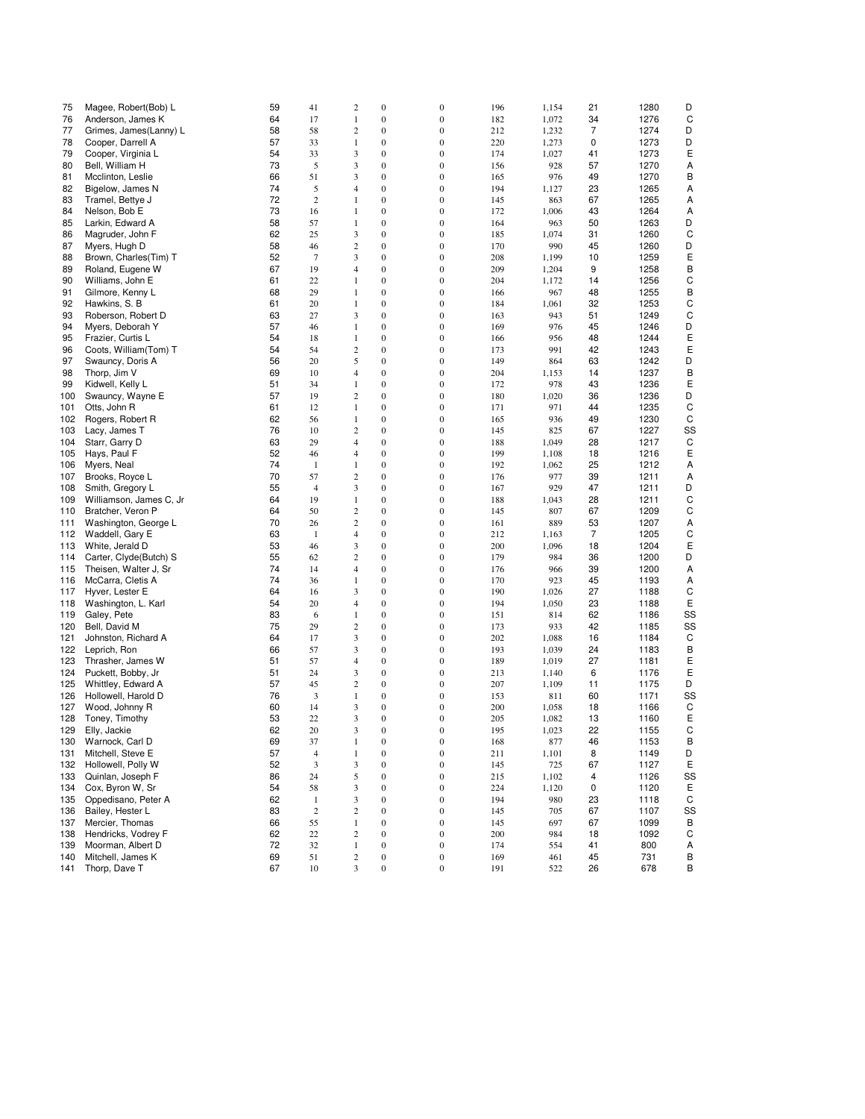| 75  | Magee, Robert(Bob) L    | 59 | 41             | $\sqrt{2}$     | $\boldsymbol{0}$ | $\bf{0}$         | 196 | 1,154 | 21 | 1280 | D  |
|-----|-------------------------|----|----------------|----------------|------------------|------------------|-----|-------|----|------|----|
| 76  | Anderson, James K       | 64 | 17             | 1              | $\boldsymbol{0}$ | $\mathbf{0}$     | 182 | 1,072 | 34 | 1276 | C  |
| 77  | Grimes, James(Lanny) L  | 58 | 58             | $\mathfrak{2}$ | $\boldsymbol{0}$ | $\bf{0}$         | 212 | 1,232 | 7  | 1274 | D  |
|     |                         |    |                |                |                  |                  |     |       |    |      |    |
| 78  | Cooper, Darrell A       | 57 | 33             | 1              | $\boldsymbol{0}$ | $\boldsymbol{0}$ | 220 | 1,273 | 0  | 1273 | D  |
| 79  | Cooper, Virginia L      | 54 | 33             | 3              | $\boldsymbol{0}$ | $\boldsymbol{0}$ | 174 | 1,027 | 41 | 1273 | Ε  |
| 80  | Bell, William H         | 73 | 5              | 3              | $\boldsymbol{0}$ | $\mathbf{0}$     | 156 | 928   | 57 | 1270 | Α  |
| 81  | Mcclinton, Leslie       | 66 | 51             | 3              | $\boldsymbol{0}$ | $\bf{0}$         | 165 | 976   | 49 | 1270 | В  |
|     | Bigelow, James N        | 74 | 5              |                |                  | $\mathbf{0}$     |     |       |    |      |    |
| 82  |                         |    |                | $\overline{4}$ | $\boldsymbol{0}$ |                  | 194 | 1,127 | 23 | 1265 | Α  |
| 83  | Tramel, Bettye J        | 72 | $\mathbf{2}$   | $\mathbf{1}$   | $\boldsymbol{0}$ | $\boldsymbol{0}$ | 145 | 863   | 67 | 1265 | Α  |
| 84  | Nelson, Bob E           | 73 | 16             | 1              | $\boldsymbol{0}$ | $\bf{0}$         | 172 | 1,006 | 43 | 1264 | Α  |
| 85  | Larkin, Edward A        | 58 | 57             | 1              | $\boldsymbol{0}$ | $\mathbf{0}$     | 164 | 963   | 50 | 1263 | D  |
| 86  | Magruder, John F        | 62 | 25             | 3              | $\boldsymbol{0}$ | $\boldsymbol{0}$ | 185 | 1,074 | 31 | 1260 | C  |
|     | Myers, Hugh D           |    |                |                |                  |                  |     |       |    |      |    |
| 87  |                         | 58 | 46             | $\sqrt{2}$     | $\boldsymbol{0}$ | $\boldsymbol{0}$ | 170 | 990   | 45 | 1260 | D  |
| 88  | Brown, Charles(Tim) T   | 52 | $\tau$         | 3              | $\boldsymbol{0}$ | 0                | 208 | 1,199 | 10 | 1259 | Е  |
| 89  | Roland, Eugene W        | 67 | 19             | $\overline{4}$ | $\boldsymbol{0}$ | $\boldsymbol{0}$ | 209 | 1,204 | 9  | 1258 | B  |
| 90  | Williams, John E        | 61 | 22             | 1              | $\boldsymbol{0}$ | $\boldsymbol{0}$ | 204 | 1,172 | 14 | 1256 | C  |
| 91  | Gilmore, Kenny L        | 68 | 29             | 1              | $\boldsymbol{0}$ | $\boldsymbol{0}$ | 166 | 967   | 48 | 1255 | B  |
|     |                         |    |                |                |                  |                  |     |       |    |      |    |
| 92  | Hawkins, S. B           | 61 | 20             | $\mathbf{1}$   | $\boldsymbol{0}$ | $\boldsymbol{0}$ | 184 | 1,061 | 32 | 1253 | C  |
| 93  | Roberson, Robert D      | 63 | 27             | 3              | $\boldsymbol{0}$ | $\boldsymbol{0}$ | 163 | 943   | 51 | 1249 | C  |
| 94  | Myers, Deborah Y        | 57 | 46             | 1              | $\boldsymbol{0}$ | $\boldsymbol{0}$ | 169 | 976   | 45 | 1246 | D  |
| 95  | Frazier, Curtis L       | 54 | 18             | 1              | $\boldsymbol{0}$ | $\mathbf{0}$     | 166 | 956   | 48 | 1244 | Ε  |
| 96  | Coots, William(Tom) T   | 54 | 54             | 2              | $\boldsymbol{0}$ | $\boldsymbol{0}$ |     | 991   | 42 | 1243 | Ε  |
|     |                         |    |                |                |                  |                  | 173 |       |    |      |    |
| 97  | Swauncy, Doris A        | 56 | 20             | 5              | $\boldsymbol{0}$ | $\boldsymbol{0}$ | 149 | 864   | 63 | 1242 | D  |
| 98  | Thorp, Jim V            | 69 | 10             | $\overline{4}$ | $\boldsymbol{0}$ | $\boldsymbol{0}$ | 204 | 1,153 | 14 | 1237 | B  |
| 99  | Kidwell, Kelly L        | 51 | 34             | 1              | $\boldsymbol{0}$ | $\boldsymbol{0}$ | 172 | 978   | 43 | 1236 | Ε  |
| 100 | Swauncy, Wayne E        | 57 | 19             | $\sqrt{2}$     | $\boldsymbol{0}$ | $\boldsymbol{0}$ | 180 | 1,020 | 36 | 1236 | D  |
|     |                         |    |                |                |                  |                  |     |       |    |      |    |
| 101 | Otts, John R            | 61 | 12             | 1              | $\boldsymbol{0}$ | $\boldsymbol{0}$ | 171 | 971   | 44 | 1235 | C  |
| 102 | Rogers, Robert R        | 62 | 56             | 1              | $\boldsymbol{0}$ | $\bf{0}$         | 165 | 936   | 49 | 1230 | C  |
| 103 | Lacy, James T           | 76 | 10             | 2              | $\boldsymbol{0}$ | $\boldsymbol{0}$ | 145 | 825   | 67 | 1227 | SS |
| 104 | Starr, Garry D          | 63 | 29             | $\overline{4}$ | $\boldsymbol{0}$ | $\boldsymbol{0}$ | 188 | 1,049 | 28 | 1217 | C  |
| 105 | Hays, Paul F            | 52 | 46             | $\overline{4}$ | $\boldsymbol{0}$ | $\mathbf{0}$     | 199 | 1,108 | 18 | 1216 | Ε  |
|     |                         |    |                |                |                  |                  |     |       |    |      |    |
| 106 | Myers, Neal             | 74 | 1              | 1              | $\boldsymbol{0}$ | $\boldsymbol{0}$ | 192 | 1,062 | 25 | 1212 | Α  |
| 107 | Brooks, Royce L         | 70 | 57             | $\sqrt{2}$     | $\boldsymbol{0}$ | $\boldsymbol{0}$ | 176 | 977   | 39 | 1211 | Α  |
| 108 | Smith, Gregory L        | 55 | $\overline{4}$ | 3              | $\boldsymbol{0}$ | $\boldsymbol{0}$ | 167 | 929   | 47 | 1211 | D  |
| 109 | Williamson, James C, Jr | 64 | 19             | $\mathbf{1}$   | $\boldsymbol{0}$ | $\bf{0}$         | 188 | 1,043 | 28 | 1211 | C  |
| 110 | Bratcher, Veron P       | 64 | 50             | 2              | $\boldsymbol{0}$ | $\boldsymbol{0}$ | 145 | 807   | 67 | 1209 | C  |
|     |                         |    |                |                |                  |                  |     |       |    |      |    |
| 111 | Washington, George L    | 70 | 26             | $\mathfrak{2}$ | $\boldsymbol{0}$ | $\boldsymbol{0}$ | 161 | 889   | 53 | 1207 | Α  |
| 112 | Waddell, Gary E         | 63 | $\mathbf{1}$   | $\overline{4}$ | $\boldsymbol{0}$ | $\boldsymbol{0}$ | 212 | 1,163 | 7  | 1205 | C  |
| 113 | White, Jerald D         | 53 | 46             | 3              | $\boldsymbol{0}$ | $\boldsymbol{0}$ | 200 | 1,096 | 18 | 1204 | Ε  |
| 114 | Carter, Clyde(Butch) S  | 55 | 62             | $\sqrt{2}$     | $\boldsymbol{0}$ | $\boldsymbol{0}$ | 179 | 984   | 36 | 1200 | D  |
| 115 | Theisen, Walter J, Sr   | 74 | 14             | $\overline{4}$ | $\boldsymbol{0}$ | $\boldsymbol{0}$ | 176 | 966   | 39 | 1200 | Α  |
|     |                         |    |                |                |                  |                  |     |       |    |      |    |
| 116 | McCarra, Cletis A       | 74 | 36             | 1              | $\boldsymbol{0}$ | $\boldsymbol{0}$ | 170 | 923   | 45 | 1193 | Α  |
| 117 | Hyver, Lester E         | 64 | 16             | 3              | $\boldsymbol{0}$ | $\boldsymbol{0}$ | 190 | 1,026 | 27 | 1188 | С  |
| 118 | Washington, L. Karl     | 54 | 20             | 4              | $\boldsymbol{0}$ | $\boldsymbol{0}$ | 194 | 1,050 | 23 | 1188 | Ε  |
| 119 | Galey, Pete             | 83 | 6              | 1              | $\boldsymbol{0}$ | $\boldsymbol{0}$ | 151 | 814   | 62 | 1186 | SS |
|     |                         | 75 |                |                |                  |                  |     |       |    |      |    |
| 120 | Bell, David M           |    | 29             | $\sqrt{2}$     | $\boldsymbol{0}$ | $\mathbf{0}$     | 173 | 933   | 42 | 1185 | SS |
| 121 | Johnston, Richard A     | 64 | 17             | 3              | $\boldsymbol{0}$ | $\boldsymbol{0}$ | 202 | 1,088 | 16 | 1184 | C  |
| 122 | Leprich, Ron            | 66 | 57             | 3              | $\boldsymbol{0}$ | $\boldsymbol{0}$ | 193 | 1,039 | 24 | 1183 | В  |
| 123 | Thrasher, James W       | 51 | 57             | $\overline{4}$ | $\boldsymbol{0}$ | $\boldsymbol{0}$ | 189 | 1,019 | 27 | 1181 | Ε  |
| 124 | Puckett, Bobby, Jr      | 51 | 24             | 3              | $\boldsymbol{0}$ | $\boldsymbol{0}$ | 213 | 1,140 | 6  | 1176 | Ε  |
|     |                         |    |                |                |                  |                  |     |       |    |      |    |
| 125 | Whittley, Edward A      | 57 | 45             | $\sqrt{2}$     | $\boldsymbol{0}$ | $\boldsymbol{0}$ | 207 | 1,109 | 11 | 1175 | D  |
| 126 | Hollowell, Harold D     | 76 | 3              | 1              | $\boldsymbol{0}$ | $\boldsymbol{0}$ | 153 | 811   | 60 | 1171 | SS |
| 127 | Wood, Johnny R          | 60 | 14             | 3              | $\boldsymbol{0}$ | $\bf{0}$         | 200 | 1,058 | 18 | 1166 | C  |
| 128 | Toney, Timothy          | 53 | 22             | 3              | $\boldsymbol{0}$ | $\boldsymbol{0}$ | 205 | 1,082 | 13 | 1160 | Ε  |
|     |                         | 62 | 20             | 3              | $\mathbf{0}$     | $\theta$         | 195 |       | 22 |      | C  |
| 129 | Elly, Jackie            |    |                |                |                  |                  |     | 1,023 |    | 1155 |    |
| 130 | Warnock, Carl D         | 69 | 37             | 1              | $\boldsymbol{0}$ | $\boldsymbol{0}$ | 168 | 877   | 46 | 1153 | В  |
| 131 | Mitchell, Steve E       | 57 | $\overline{4}$ | $\mathbf{1}$   | $\boldsymbol{0}$ | $\boldsymbol{0}$ | 211 | 1,101 | 8  | 1149 | D  |
| 132 | Hollowell, Polly W      | 52 | 3              | 3              | $\boldsymbol{0}$ | $\boldsymbol{0}$ | 145 | 725   | 67 | 1127 | Ε  |
| 133 | Quinlan, Joseph F       | 86 | 24             | 5              | $\boldsymbol{0}$ | $\boldsymbol{0}$ | 215 | 1,102 | 4  | 1126 | SS |
|     |                         |    |                |                |                  |                  |     |       |    |      |    |
| 134 | Cox, Byron W, Sr        | 54 | 58             | 3              | $\boldsymbol{0}$ | $\boldsymbol{0}$ | 224 | 1,120 | 0  | 1120 | Ε  |
| 135 | Oppedisano, Peter A     | 62 | $\mathbf{1}$   | 3              | $\boldsymbol{0}$ | $\boldsymbol{0}$ | 194 | 980   | 23 | 1118 | C  |
| 136 | Bailey, Hester L        | 83 | $\sqrt{2}$     | $\sqrt{2}$     | $\boldsymbol{0}$ | $\boldsymbol{0}$ | 145 | 705   | 67 | 1107 | SS |
| 137 | Mercier, Thomas         | 66 | 55             | 1              | $\boldsymbol{0}$ | $\boldsymbol{0}$ | 145 | 697   | 67 | 1099 | В  |
| 138 | Hendricks, Vodrey F     | 62 | 22             | $\sqrt{2}$     | $\boldsymbol{0}$ | $\boldsymbol{0}$ | 200 | 984   | 18 | 1092 | C  |
|     |                         |    |                |                |                  |                  |     |       |    |      |    |
| 139 | Moorman, Albert D       | 72 | 32             | $\mathbf{1}$   | $\boldsymbol{0}$ | $\boldsymbol{0}$ | 174 | 554   | 41 | 800  | Α  |
| 140 | Mitchell, James K       | 69 | 51             | $\sqrt{2}$     | $\boldsymbol{0}$ | $\boldsymbol{0}$ | 169 | 461   | 45 | 731  | В  |
| 141 | Thorp, Dave T           | 67 | 10             | $\mathfrak{Z}$ | $\boldsymbol{0}$ | $\boldsymbol{0}$ | 191 | 522   | 26 | 678  | В  |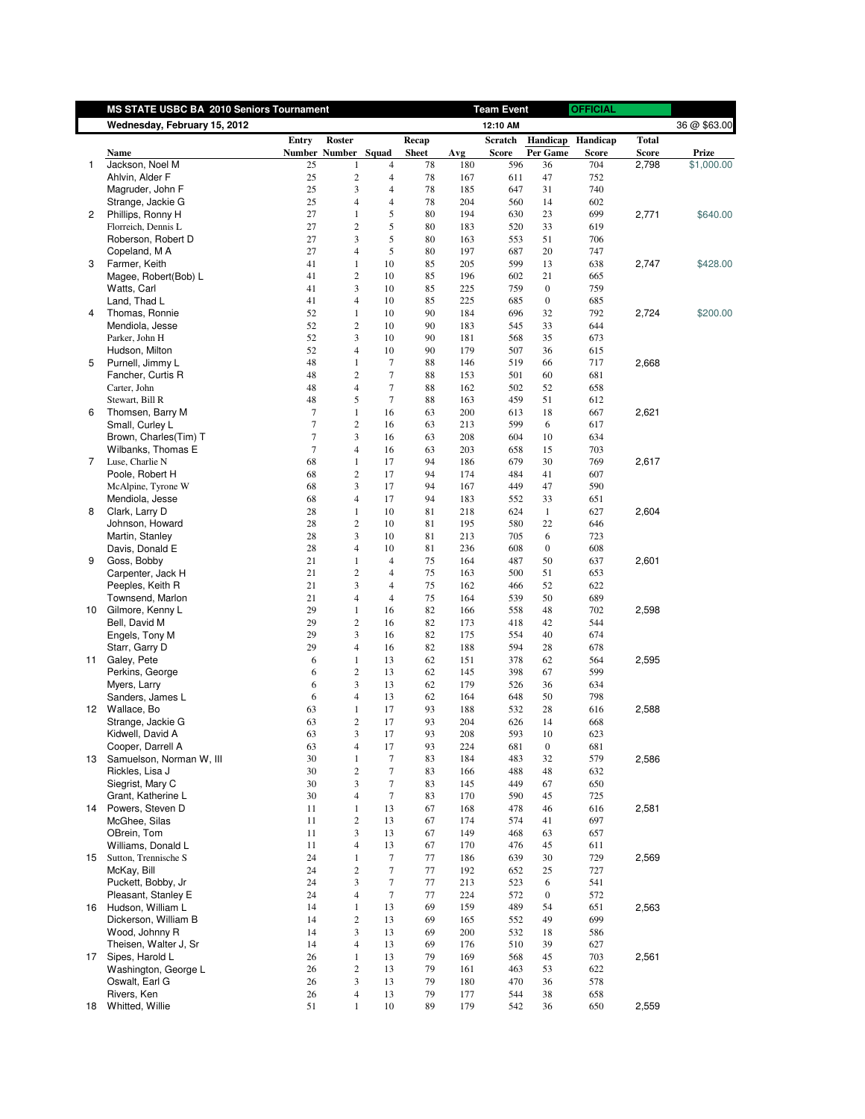|                | MS STATE USBC BA 2010 Seniors Tournament |        |                          |                                  |              |     | <b>Team Event</b> |                  | <b>OFFICIAL</b> |              |              |
|----------------|------------------------------------------|--------|--------------------------|----------------------------------|--------------|-----|-------------------|------------------|-----------------|--------------|--------------|
|                | Wednesday, February 15, 2012             |        |                          |                                  |              |     | 12:10 AM          |                  |                 |              | 36 @ \$63.00 |
|                |                                          | Entry  | Roster                   |                                  | Recap        |     | <b>Scratch</b>    | Handicap         | Handicap        | <b>Total</b> |              |
|                | Name                                     |        | Number Number Squad      |                                  | <b>Sheet</b> | Avg | <b>Score</b>      | Per Game         | Score           | <b>Score</b> | Prize        |
| 1              | Jackson, Noel M                          | 25     | 1                        | $\overline{4}$                   | 78           | 180 | 596               | 36               | 704             | 2,798        | \$1,000.00   |
|                | Ahlvin, Alder F                          | 25     | $\sqrt{2}$               | $\overline{4}$                   | 78           | 167 | 611               | 47               | 752             |              |              |
|                | Magruder, John F                         | 25     | 3                        | $\overline{4}$                   | 78           | 185 | 647               | 31               | 740             |              |              |
|                | Strange, Jackie G                        | 25     | $\overline{4}$           | $\overline{4}$                   | 78           | 204 | 560               | 14               | 602             |              |              |
| 2              | Phillips, Ronny H                        | 27     | $\mathbf{1}$             | 5                                | 80           | 194 | 630               | 23               | 699             | 2,771        | \$640.00     |
|                | Florreich, Dennis L                      | 27     | $\overline{c}$           | 5                                | 80           | 183 | 520               | 33               | 619             |              |              |
|                | Roberson, Robert D                       | 27     | 3                        | 5                                | 80           | 163 | 553               | 51               | 706             |              |              |
|                | Copeland, M A                            | 27     | $\overline{4}$           | $\sqrt{5}$                       | 80           | 197 | 687               | 20               | 747             |              |              |
| 3              | Farmer, Keith                            | 41     | $\mathbf{1}$             | 10                               | 85           | 205 | 599               | 13               | 638             | 2,747        | \$428.00     |
|                | Magee, Robert(Bob) L                     | 41     | $\sqrt{2}$               | 10                               | 85           | 196 | 602               | 21               | 665             |              |              |
|                | Watts, Carl                              | 41     | 3                        | 10                               | 85           | 225 | 759               | $\boldsymbol{0}$ | 759             |              |              |
|                | Land, Thad L                             | 41     | $\overline{4}$           | 10                               | 85           | 225 | 685               | $\boldsymbol{0}$ | 685             |              |              |
| 4              | Thomas, Ronnie                           | 52     | $\mathbf{1}$             | 10                               | 90           | 184 | 696               | 32               | 792             | 2,724        | \$200.00     |
|                | Mendiola, Jesse                          | 52     | $\sqrt{2}$               | 10                               | 90           | 183 | 545               | 33               | 644             |              |              |
|                | Parker, John H                           | 52     | 3                        | 10                               | 90           | 181 | 568               | 35               | 673             |              |              |
|                | Hudson, Milton                           | 52     | $\overline{4}$           | 10                               | 90           | 179 | 507               | 36               | 615             |              |              |
| 5              | Purnell, Jimmy L                         | 48     | $\mathbf{1}$             | $\tau$                           | 88           | 146 | 519               | 66               | 717             | 2,668        |              |
|                |                                          |        |                          |                                  |              |     |                   |                  |                 |              |              |
|                | Fancher, Curtis R                        | 48     | $\overline{c}$           | $\tau$                           | 88           | 153 | 501               | 60               | 681             |              |              |
|                | Carter, John                             | 48     | $\overline{4}$           | $\tau$                           | 88           | 162 | 502               | 52               | 658             |              |              |
|                | Stewart, Bill R                          | 48     | 5                        | $\tau$                           | 88           | 163 | 459               | 51               | 612             |              |              |
| 6              | Thomsen, Barry M                         | $\tau$ | $\mathbf{1}$             | 16                               | 63           | 200 | 613               | 18               | 667             | 2,621        |              |
|                | Small, Curley L                          | $\tau$ | $\sqrt{2}$               | 16                               | 63           | 213 | 599               | 6                | 617             |              |              |
|                | Brown, Charles(Tim) T                    | 7      | 3                        | 16                               | 63           | 208 | 604               | 10               | 634             |              |              |
|                | Wilbanks, Thomas E                       | 7      | $\overline{4}$           | 16                               | 63           | 203 | 658               | 15               | 703             |              |              |
| $\overline{7}$ | Luse, Charlie N                          | 68     | $\mathbf{1}$             | 17                               | 94           | 186 | 679               | 30               | 769             | 2,617        |              |
|                | Poole, Robert H                          | 68     | $\sqrt{2}$               | 17                               | 94           | 174 | 484               | 41               | 607             |              |              |
|                | McAlpine, Tyrone W                       | 68     | 3                        | 17                               | 94           | 167 | 449               | 47               | 590             |              |              |
|                | Mendiola, Jesse                          | 68     | $\overline{4}$           | 17                               | 94           | 183 | 552               | 33               | 651             |              |              |
| 8              | Clark, Larry D                           | 28     | $\mathbf{1}$             | 10                               | 81           | 218 | 624               | $\mathbf{1}$     | 627             | 2,604        |              |
|                | Johnson, Howard                          | 28     | $\overline{c}$           | 10                               | 81           | 195 | 580               | 22               | 646             |              |              |
|                | Martin, Stanley                          | 28     | 3                        | 10                               | 81           | 213 | 705               | 6                | 723             |              |              |
|                | Davis, Donald E                          | 28     | $\overline{4}$           | 10                               | 81           | 236 | 608               | $\boldsymbol{0}$ | 608             |              |              |
| 9              | Goss, Bobby                              | 21     | 1                        | $\overline{4}$                   | 75           | 164 | 487               | 50               | 637             | 2,601        |              |
|                | Carpenter, Jack H                        | 21     | $\sqrt{2}$               | $\overline{4}$                   | 75           | 163 | 500               | 51               | 653             |              |              |
|                |                                          | 21     | 3                        |                                  |              |     |                   |                  |                 |              |              |
|                | Peeples, Keith R                         |        |                          | $\overline{4}$<br>$\overline{4}$ | 75           | 162 | 466               | 52               | 622             |              |              |
|                | Townsend, Marlon                         | 21     | $\overline{4}$           |                                  | 75           | 164 | 539               | 50               | 689             |              |              |
| 10             | Gilmore, Kenny L                         | 29     | $\mathbf{1}$             | 16                               | 82           | 166 | 558               | 48               | 702             | 2,598        |              |
|                | Bell, David M                            | 29     | $\sqrt{2}$               | 16                               | 82           | 173 | 418               | 42               | 544             |              |              |
|                | Engels, Tony M                           | 29     | 3                        | 16                               | 82           | 175 | 554               | 40               | 674             |              |              |
|                | Starr, Garry D                           | 29     | $\overline{4}$           | 16                               | 82           | 188 | 594               | 28               | 678             |              |              |
| 11             | Galey, Pete                              | 6      | $\mathbf{1}$             | 13                               | 62           | 151 | 378               | 62               | 564             | 2,595        |              |
|                | Perkins, George                          | 6      | $\overline{c}$           | 13                               | 62           | 145 | 398               | 67               | 599             |              |              |
|                | Myers, Larry                             | 6      | 3                        | 13                               | 62           | 179 | 526               | 36               | 634             |              |              |
|                | Sanders, James L                         | 6      | $\overline{4}$           | 13                               | 62           | 164 | 648               | 50               | 798             |              |              |
| 12             | Wallace, Bo                              | 63     | $\mathbf{1}$             | 17                               | 93           | 188 | 532               | 28               | 616             | 2,588        |              |
|                | Strange, Jackie G                        | 63     | $\overline{c}$           | 17                               | 93           | 204 | 626               | 14               | 668             |              |              |
|                | Kidwell, David A                         | 63     | 3                        | 17                               | 93           | 208 | 593               | $10\,$           | 623             |              |              |
|                | Cooper, Darrell A                        | 63     | $\overline{\mathcal{A}}$ | 17                               | 93           | 224 | 681               | $\boldsymbol{0}$ | 681             |              |              |
|                | 13 Samuelson, Norman W, III              | 30     | 1                        | $\tau$                           | 83           | 184 | 483               | 32               | 579             | 2,586        |              |
|                | Rickles, Lisa J                          | 30     | $\boldsymbol{2}$         | $\tau$                           | 83           | 166 | 488               | 48               | 632             |              |              |
|                | Siegrist, Mary C                         | 30     | 3                        | $\tau$                           | 83           | 145 | 449               | 67               | 650             |              |              |
|                | Grant, Katherine L                       | 30     | $\overline{\mathcal{L}}$ | $\tau$                           | 83           | 170 | 590               | 45               | 725             |              |              |
|                | 14 Powers, Steven D                      | 11     | $\mathbf{1}$             | 13                               | 67           | 168 | 478               | 46               | 616             | 2,581        |              |
|                | McGhee, Silas                            | 11     | $\overline{c}$           | 13                               | 67           | 174 | 574               | 41               | 697             |              |              |
|                |                                          |        |                          |                                  |              |     |                   |                  |                 |              |              |
|                | OBrein, Tom                              | 11     | 3                        | 13                               | 67           | 149 | 468               | 63               | 657             |              |              |
|                | Williams, Donald L                       | 11     | $\overline{4}$           | 13                               | 67           | 170 | 476               | 45               | 611             |              |              |
|                | 15 Sutton, Trennische S                  | 24     | 1                        | $\tau$                           | 77           | 186 | 639               | 30               | 729             | 2,569        |              |
|                | McKay, Bill                              | 24     | $\overline{c}$           | $\tau$                           | 77           | 192 | 652               | 25               | 727             |              |              |
|                | Puckett, Bobby, Jr                       | 24     | 3                        | 7                                | 77           | 213 | 523               | 6                | 541             |              |              |
|                | Pleasant, Stanley E                      | 24     | $\overline{4}$           | $\tau$                           | 77           | 224 | 572               | $\boldsymbol{0}$ | 572             |              |              |
|                | 16 Hudson, William L                     | 14     | $\mathbf{1}$             | 13                               | 69           | 159 | 489               | 54               | 651             | 2,563        |              |
|                | Dickerson, William B                     | 14     | $\boldsymbol{2}$         | 13                               | 69           | 165 | 552               | 49               | 699             |              |              |
|                | Wood, Johnny R                           | 14     | 3                        | 13                               | 69           | 200 | 532               | 18               | 586             |              |              |
|                | Theisen, Walter J, Sr                    | 14     | $\overline{4}$           | 13                               | 69           | 176 | 510               | 39               | 627             |              |              |
| 17             | Sipes, Harold L                          | 26     | $\mathbf{1}$             | 13                               | 79           | 169 | 568               | 45               | 703             | 2,561        |              |
|                | Washington, George L                     | 26     | $\sqrt{2}$               | 13                               | 79           | 161 | 463               | 53               | 622             |              |              |
|                | Oswalt, Earl G                           | 26     | 3                        | 13                               | 79           | 180 | 470               | 36               | 578             |              |              |
|                | Rivers, Ken                              | 26     | $\overline{4}$           | 13                               | 79           | 177 | 544               | 38               | 658             |              |              |
| 18             | Whitted, Willie                          | 51     | $\mathbf{1}$             | 10                               | 89           | 179 | 542               | 36               |                 | 2,559        |              |
|                |                                          |        |                          |                                  |              |     |                   |                  | 650             |              |              |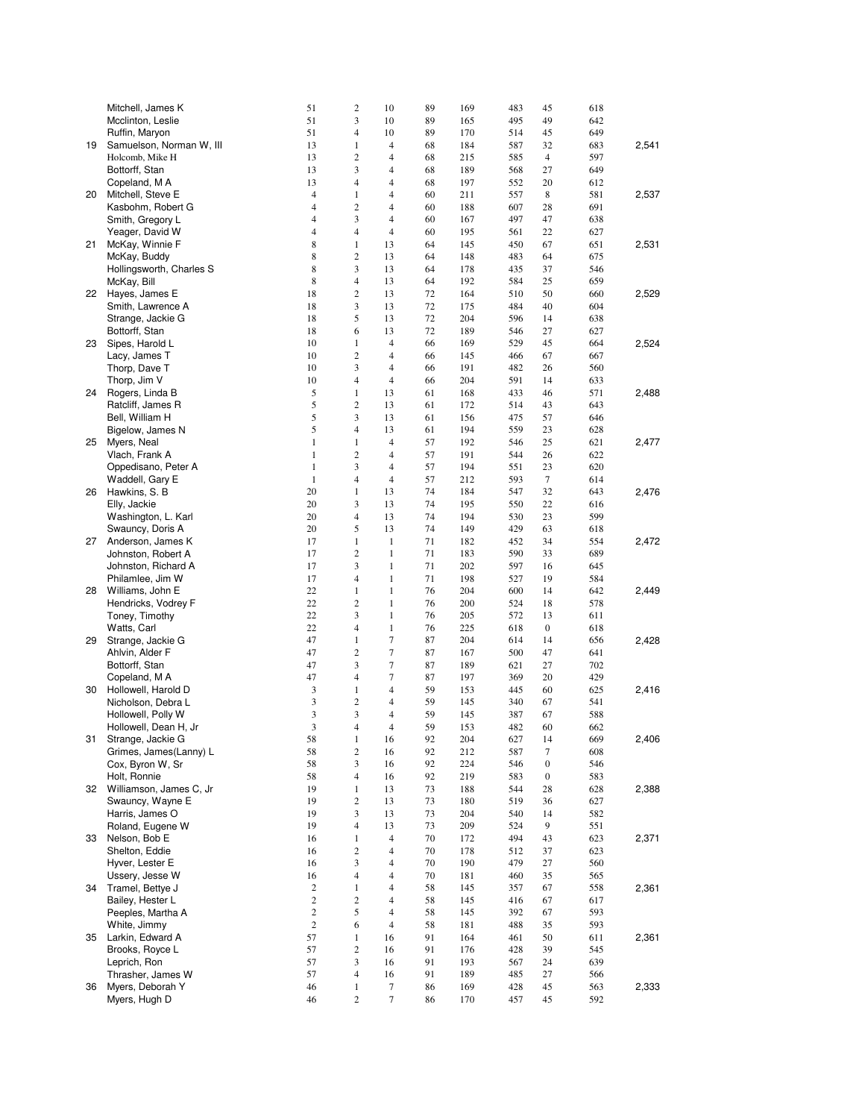|    | Mitchell, James K        | 51             | $\overline{c}$           | 10                   | 89 | 169 | 483        | 45               | 618        |       |
|----|--------------------------|----------------|--------------------------|----------------------|----|-----|------------|------------------|------------|-------|
|    | Mcclinton, Leslie        | 51             | 3                        | 10                   | 89 | 165 | 495        | 49               | 642        |       |
|    | Ruffin, Maryon           | 51             | 4                        | 10                   | 89 | 170 | 514        | 45               | 649        |       |
| 19 | Samuelson, Norman W, III | 13             | 1                        | $\overline{4}$       | 68 | 184 | 587        | 32               | 683        | 2,541 |
|    | Holcomb, Mike H          | 13             | 2                        | 4                    | 68 | 215 | 585        | $\overline{4}$   | 597        |       |
|    | Bottorff, Stan           | 13             | 3                        | 4                    | 68 | 189 | 568        | 27               | 649        |       |
|    | Copeland, M A            | 13             | $\overline{\mathcal{L}}$ | 4                    | 68 | 197 | 552        | 20               | 612        |       |
| 20 | Mitchell, Steve E        | $\overline{4}$ | 1                        | $\overline{4}$       | 60 | 211 | 557        | 8                | 581        | 2,537 |
|    | Kasbohm, Robert G        | $\overline{4}$ | 2                        | 4                    | 60 | 188 | 607        | 28               | 691        |       |
|    | Smith, Gregory L         | $\overline{4}$ | 3                        | 4                    | 60 | 167 | 497        | 47               | 638        |       |
|    | Yeager, David W          | $\overline{4}$ | 4                        | $\overline{4}$       | 60 | 195 | 561        | 22               | 627        |       |
| 21 | McKay, Winnie F          | 8              | 1                        | 13                   | 64 | 145 | 450        | 67               | 651        | 2,531 |
|    | McKay, Buddy             | 8              | $\overline{c}$           | 13                   | 64 | 148 | 483        | 64               | 675        |       |
|    | Hollingsworth, Charles S | 8              | 3                        | 13                   | 64 | 178 | 435        | 37               | 546        |       |
|    | McKay, Bill              | 8              | $\overline{4}$           | 13                   | 64 | 192 | 584        | 25               | 659        |       |
|    | 22 Hayes, James E        | 18             | $\overline{c}$           | 13                   | 72 | 164 | 510        | 50               | 660        | 2,529 |
|    | Smith, Lawrence A        | 18             | 3                        | 13                   | 72 | 175 | 484        | 40               | 604        |       |
|    | Strange, Jackie G        | 18             | 5                        | 13                   | 72 | 204 | 596        | 14               | 638        |       |
|    | Bottorff, Stan           | 18             | 6                        | 13                   | 72 | 189 | 546        | 27               | 627        |       |
| 23 | Sipes, Harold L          | 10             | $\mathbf{1}$             | $\overline{4}$       | 66 | 169 | 529        | 45               | 664        | 2,524 |
|    | Lacy, James T            | 10             | $\overline{c}$           | $\overline{4}$       | 66 | 145 | 466        | 67               | 667        |       |
|    | Thorp, Dave T            | 10             | 3                        | $\overline{4}$       | 66 | 191 | 482        | 26               | 560        |       |
|    | Thorp, Jim V             | 10             | 4                        | $\overline{4}$       | 66 | 204 | 591        | 14               | 633        |       |
| 24 | Rogers, Linda B          | 5              | $\mathbf{1}$             | 13                   | 61 | 168 | 433        | 46               | 571        | 2,488 |
|    | Ratcliff, James R        | 5              | $\overline{c}$           | 13                   | 61 | 172 | 514        | 43               | 643        |       |
|    | Bell, William H          | 5              | 3                        | 13                   | 61 | 156 |            |                  | 646        |       |
|    |                          | 5              | $\overline{4}$           |                      | 61 | 194 | 475<br>559 | 57               |            |       |
|    | Bigelow, James N         | $\mathbf{1}$   | $\mathbf{1}$             | 13<br>$\overline{4}$ | 57 | 192 |            | 23               | 628        |       |
| 25 | Myers, Neal              |                |                          |                      |    |     | 546        | 25               | 621        | 2,477 |
|    | Vlach, Frank A           | $\mathbf{1}$   | 2                        | $\overline{4}$       | 57 | 191 | 544        | 26               | 622        |       |
|    | Oppedisano, Peter A      | $\mathbf{1}$   | 3                        | 4                    | 57 | 194 | 551        | 23               | 620        |       |
|    | Waddell, Gary E          | $\mathbf{1}$   | 4                        | $\overline{4}$       | 57 | 212 | 593        | $\tau$           | 614        |       |
|    | 26 Hawkins, S. B         | 20             | 1                        | 13                   | 74 | 184 | 547        | 32               | 643        | 2,476 |
|    | Elly, Jackie             | 20             | 3                        | 13                   | 74 | 195 | 550        | 22               | 616        |       |
|    | Washington, L. Karl      | 20             | 4                        | 13                   | 74 | 194 | 530        | 23               | 599        |       |
|    | Swauncy, Doris A         | 20             | 5                        | 13                   | 74 | 149 | 429        | 63               | 618        |       |
| 27 | Anderson, James K        | 17             | $\mathbf{1}$             | $\mathbf{1}$         | 71 | 182 | 452        | 34               | 554        | 2,472 |
|    | Johnston, Robert A       | 17             | 2                        | $\mathbf{1}$         | 71 | 183 | 590        | 33               | 689        |       |
|    | Johnston, Richard A      | 17             | 3                        | $\mathbf{1}$         | 71 | 202 | 597        | 16               | 645        |       |
|    | Philamlee, Jim W         | 17             | $\overline{4}$           | $\mathbf{1}$         | 71 | 198 | 527        | 19               | 584        |       |
| 28 | Williams, John E         | 22             | $\mathbf{1}$             | $\,1\,$              | 76 | 204 | 600        | 14               | 642        | 2,449 |
|    | Hendricks, Vodrey F      | 22             | 2                        | $\mathbf{1}$         | 76 | 200 | 524        | 18               | 578        |       |
|    | Toney, Timothy           | 22             | 3                        | $\mathbf{1}$         | 76 | 205 | 572        | 13               | 611        |       |
|    | Watts, Carl              | 22             | 4                        | $\mathbf{1}$         | 76 | 225 | 618        | $\boldsymbol{0}$ | 618        |       |
| 29 | Strange, Jackie G        | 47             | $\mathbf{1}$             | $\tau$               | 87 | 204 | 614        | 14               | 656        | 2,428 |
|    | Ahlvin, Alder F          | 47             | 2                        | $\tau$               | 87 | 167 | 500        | 47               | 641        |       |
|    | Bottorff, Stan           | 47             | 3                        | $\tau$               | 87 | 189 | 621        | 27               | 702        |       |
|    | Copeland, M A            | 47             | 4                        | 7                    | 87 | 197 | 369        | 20               | 429        |       |
| 30 | Hollowell, Harold D      | 3              | 1                        | 4                    | 59 | 153 | 445        | 60               | 625        | 2,416 |
|    | Nicholson, Debra L       | 3              | 2                        | 4                    | 59 | 145 | 340        | 67               | 541        |       |
|    | Hollowell, Polly W       | 3              | 3                        | 4                    | 59 | 145 | 387        | 67               | 588        |       |
|    | Hollowell, Dean H, Jr    | 3              | $\overline{4}$           | $\overline{4}$       | 59 | 153 | 482        | 60               | 662        |       |
| 31 | Strange, Jackie G        | 58             | $\mathbf{1}$             | 16                   | 92 | 204 | 627        | 14               | 669        | 2,406 |
|    | Grimes, James(Lanny) L   | 58             | 2                        | 16                   | 92 | 212 | 587        | 7                | 608        |       |
|    | Cox, Byron W, Sr         | 58             | 3                        | 16                   | 92 | 224 | 546        | $\boldsymbol{0}$ | 546        |       |
|    | Holt, Ronnie             | 58             | 4                        | 16                   | 92 | 219 | 583        | $\boldsymbol{0}$ | 583        |       |
| 32 | Williamson, James C, Jr  | 19             | $\mathbf{1}$             | 13                   | 73 | 188 | 544        | 28               | 628        | 2,388 |
|    | Swauncy, Wayne E         | 19             | $\overline{c}$           | 13                   | 73 | 180 | 519        | 36               | 627        |       |
|    | Harris, James O          | 19             | 3                        | 13                   | 73 | 204 | 540        | 14               | 582        |       |
|    | Roland, Eugene W         | 19             | $\overline{\mathcal{L}}$ | 13                   | 73 | 209 | 524        | 9                | 551        |       |
| 33 | Nelson, Bob E            | 16             | $\mathbf{1}$             | $\overline{4}$       | 70 | 172 | 494        | 43               | 623        | 2,371 |
|    | Shelton, Eddie           | 16             | 2                        | $\overline{4}$       | 70 | 178 | 512        | 37               | 623        |       |
|    | Hyver, Lester E          | 16             | 3                        | 4                    | 70 | 190 | 479        | 27               | 560        |       |
|    | Ussery, Jesse W          | 16             | $\overline{\mathcal{L}}$ | 4                    | 70 | 181 | 460        | 35               | 565        |       |
| 34 | Tramel, Bettye J         | $\mathbf{2}$   | $\mathbf{1}$             | 4                    | 58 | 145 | 357        | 67               | 558        | 2,361 |
|    | Bailey, Hester L         | $\mathbf{2}$   | $\overline{c}$           | 4                    | 58 | 145 | 416        | 67               | 617        |       |
|    | Peeples, Martha A        | $\overline{c}$ | 5                        | $\overline{4}$       | 58 | 145 | 392        | 67               | 593        |       |
|    | White, Jimmy             | $\overline{c}$ | 6                        | $\overline{4}$       | 58 | 181 | 488        | 35               | 593        |       |
| 35 | Larkin, Edward A         | 57             | $\mathbf{1}$             | 16                   | 91 | 164 | 461        | 50               | 611        | 2,361 |
|    | Brooks, Royce L          | 57             | $\overline{c}$           | 16                   | 91 | 176 | 428        | 39               | 545        |       |
|    | Leprich, Ron             | 57             | 3                        | 16                   | 91 | 193 | 567        | 24               | 639        |       |
|    | Thrasher, James W        | 57             | $\overline{4}$           | 16                   | 91 | 189 | 485        | 27               |            |       |
| 36 | Myers, Deborah Y         | 46             | $\mathbf{1}$             | $\tau$               | 86 | 169 | 428        | 45               | 566<br>563 | 2,333 |
|    |                          | 46             | $\overline{c}$           | $\tau$               |    | 170 |            | 45               | 592        |       |
|    | Myers, Hugh D            |                |                          |                      | 86 |     | 457        |                  |            |       |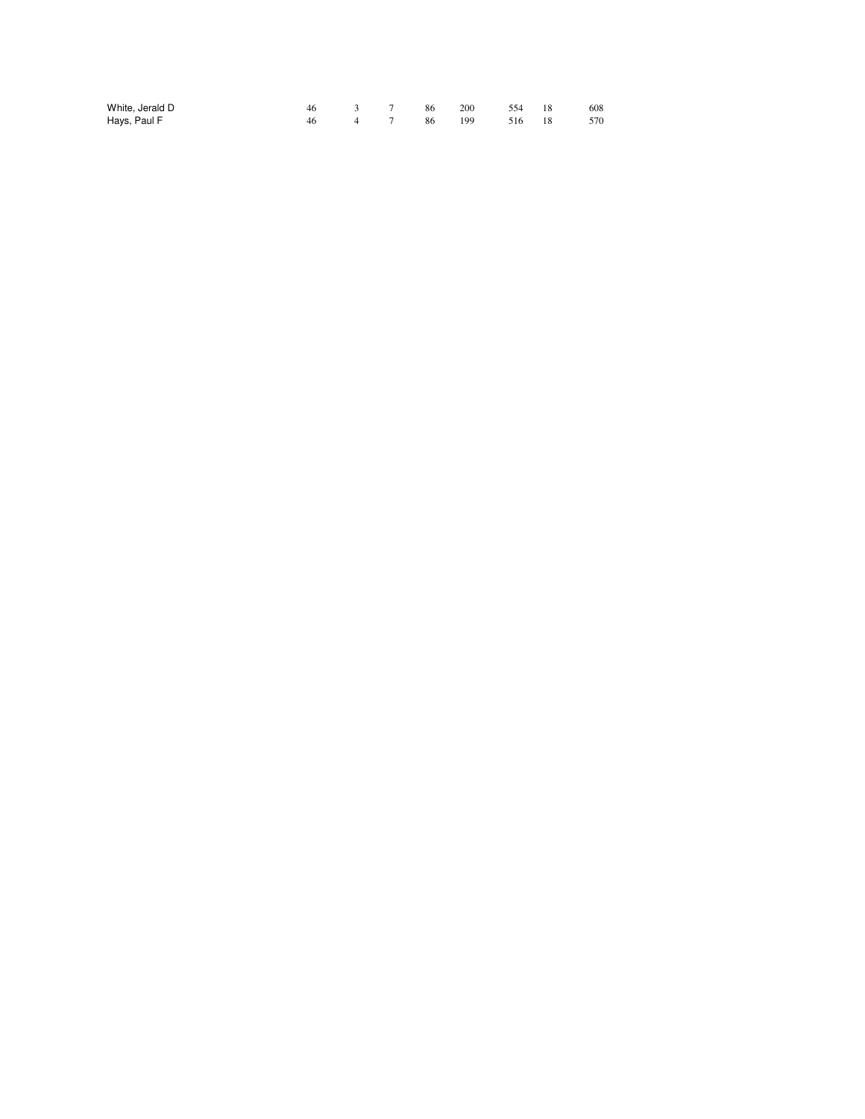| White, Jerald D | 46 — |     | 3 7 86 | 200 | 554    | 608 |  |
|-----------------|------|-----|--------|-----|--------|-----|--|
| Hays, Paul F    | 46 — | 4 7 | 86 199 |     | 516 18 | 570 |  |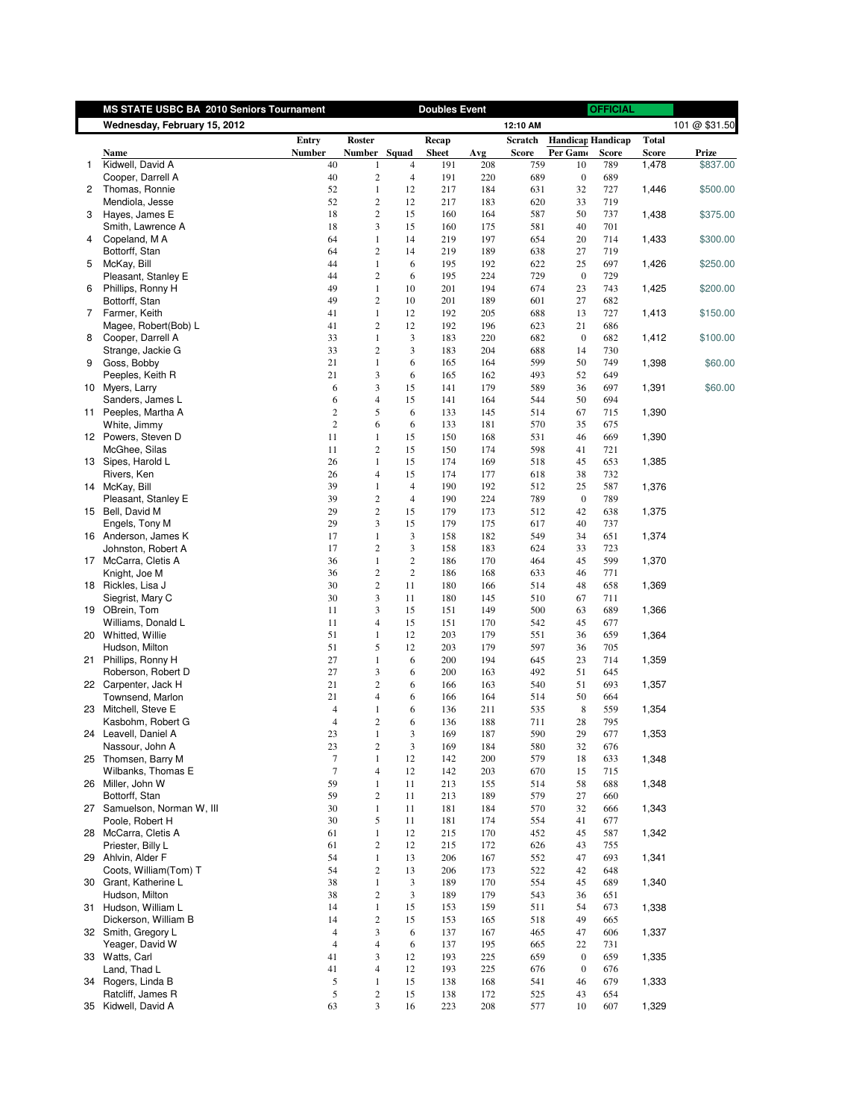|              | MS STATE USBC BA 2010 Seniors Tournament |                                |                                |                | <b>Doubles Event</b> |            |              |                                      | <b>OFFICIAL</b> |              |               |
|--------------|------------------------------------------|--------------------------------|--------------------------------|----------------|----------------------|------------|--------------|--------------------------------------|-----------------|--------------|---------------|
|              | Wednesday, February 15, 2012             |                                |                                |                |                      |            | 12:10 AM     |                                      |                 |              | 101 @ \$31.50 |
|              |                                          | Entry                          | Roster                         |                | Recap                |            | Scratch      | <b>Handicap Handicap</b>             |                 | <b>Total</b> |               |
|              | Name                                     | <b>Number</b>                  | Number Squad                   |                | <b>Sheet</b>         | Avg        | <b>Score</b> | Per Gamo                             | <b>Score</b>    | <b>Score</b> | Prize         |
| $\mathbf{1}$ | Kidwell, David A                         | 40                             |                                | $\overline{4}$ | 191                  | 208        | 759          | 10                                   | 789             | 1,478        | \$837.00      |
|              | Cooper, Darrell A                        | 40                             | $\overline{2}$                 | $\overline{4}$ | 191                  | 220        | 689          | $\boldsymbol{0}$                     | 689             |              |               |
| $\mathbf{2}$ | Thomas, Ronnie                           | 52                             | $\mathbf{1}$                   | 12             | 217                  | 184        | 631          | 32                                   | 727             | 1,446        | \$500.00      |
|              | Mendiola, Jesse                          | 52                             | $\overline{c}$                 | 12             | 217                  | 183        | 620          | 33                                   | 719             |              |               |
| 3            | Hayes, James E                           | 18                             | $\overline{2}$<br>3            | 15             | 160                  | 164        | 587          | 50                                   | 737             | 1,438        | \$375.00      |
| 4            | Smith, Lawrence A<br>Copeland, MA        | 18<br>64                       | $\mathbf{1}$                   | 15<br>14       | 160<br>219           | 175<br>197 | 581<br>654   | 40<br>20                             | 701<br>714      | 1,433        | \$300.00      |
|              | Bottorff, Stan                           | 64                             | $\overline{2}$                 | 14             | 219                  | 189        | 638          | 27                                   | 719             |              |               |
| 5            | McKay, Bill                              | 44                             | $\mathbf{1}$                   | 6              | 195                  | 192        | 622          | 25                                   | 697             | 1,426        | \$250.00      |
|              | Pleasant, Stanley E                      | 44                             | $\overline{2}$                 | 6              | 195                  | 224        | 729          | $\boldsymbol{0}$                     | 729             |              |               |
| 6            | Phillips, Ronny H                        | 49                             | $\mathbf{1}$                   | 10             | 201                  | 194        | 674          | 23                                   | 743             | 1,425        | \$200.00      |
|              | Bottorff, Stan                           | 49                             | $\overline{c}$                 | 10             | 201                  | 189        | 601          | 27                                   | 682             |              |               |
| $7^{\circ}$  | Farmer, Keith                            | 41                             | $\mathbf{1}$                   | 12             | 192                  | 205        | 688          | 13                                   | 727             | 1,413        | \$150.00      |
|              | Magee, Robert(Bob) L                     | 41                             | $\overline{2}$                 | 12             | 192                  | 196        | 623          | 21                                   | 686             |              |               |
| 8            | Cooper, Darrell A                        | 33                             | $\mathbf{1}$                   | 3              | 183                  | 220        | 682          | $\boldsymbol{0}$                     | 682             | 1,412        | \$100.00      |
|              | Strange, Jackie G                        | 33                             | $\overline{2}$                 | 3              | 183                  | 204        | 688          | 14                                   | 730             |              |               |
| 9            | Goss, Bobby                              | 21                             | $\mathbf{1}$                   | 6              | 165                  | 164        | 599          | 50                                   | 749             | 1,398        | \$60.00       |
|              | Peeples, Keith R                         | 21                             | $\mathfrak{Z}$                 | 6              | 165                  | 162        | 493          | 52                                   | 649             |              |               |
|              | 10 Myers, Larry                          | 6                              | 3                              | 15             | 141                  | 179        | 589          | 36                                   | 697             | 1,391        | \$60.00       |
|              | Sanders, James L                         | 6                              | $\overline{4}$                 | 15             | 141                  | 164        | 544          | 50                                   | 694             |              |               |
|              | 11 Peeples, Martha A                     | $\overline{c}$                 | 5                              | 6              | 133                  | 145        | 514          | 67                                   | 715             | 1,390        |               |
|              | White, Jimmy                             | $\mathbf{2}$                   | 6                              | 6              | 133                  | 181        | 570          | 35                                   | 675             |              |               |
|              | 12 Powers, Steven D                      | 11                             | $\mathbf{1}$                   | 15             | 150                  | 168        | 531          | 46                                   | 669             | 1,390        |               |
|              | McGhee, Silas<br>13 Sipes, Harold L      | 11<br>26                       | $\overline{2}$<br>$\mathbf{1}$ | 15<br>15       | 150<br>174           | 174        | 598          | 41                                   | 721             |              |               |
|              | Rivers, Ken                              | 26                             | $\overline{4}$                 | 15             | 174                  | 169<br>177 | 518<br>618   | 45<br>38                             | 653<br>732      | 1,385        |               |
|              | 14 McKay, Bill                           | 39                             | $\mathbf{1}$                   | $\overline{4}$ | 190                  | 192        | 512          | 25                                   | 587             | 1,376        |               |
|              | Pleasant, Stanley E                      | 39                             | $\overline{c}$                 | $\overline{4}$ | 190                  | 224        | 789          | $\boldsymbol{0}$                     | 789             |              |               |
|              | 15 Bell, David M                         | 29                             | $\overline{c}$                 | 15             | 179                  | 173        | 512          | 42                                   | 638             | 1,375        |               |
|              | Engels, Tony M                           | 29                             | 3                              | 15             | 179                  | 175        | 617          | 40                                   | 737             |              |               |
|              | 16 Anderson, James K                     | 17                             | $\mathbf{1}$                   | 3              | 158                  | 182        | 549          | 34                                   | 651             | 1,374        |               |
|              | Johnston, Robert A                       | 17                             | $\overline{2}$                 | 3              | 158                  | 183        | 624          | 33                                   | 723             |              |               |
|              | 17 McCarra, Cletis A                     | 36                             | $\mathbf{1}$                   | $\overline{2}$ | 186                  | 170        | 464          | 45                                   | 599             | 1,370        |               |
|              | Knight, Joe M                            | 36                             | $\boldsymbol{2}$               | $\sqrt{2}$     | 186                  | 168        | 633          | 46                                   | 771             |              |               |
|              | 18 Rickles, Lisa J                       | 30                             | $\overline{2}$                 | 11             | 180                  | 166        | 514          | 48                                   | 658             | 1,369        |               |
|              | Siegrist, Mary C                         | 30                             | 3                              | 11             | 180                  | 145        | 510          | 67                                   | 711             |              |               |
|              | 19 OBrein, Tom                           | 11                             | 3                              | 15             | 151                  | 149        | 500          | 63                                   | 689             | 1,366        |               |
|              | Williams, Donald L                       | 11                             | $\overline{4}$                 | 15             | 151                  | 170        | 542          | 45                                   | 677             |              |               |
|              | 20 Whitted, Willie                       | 51                             | $\mathbf{1}$                   | 12             | 203                  | 179        | 551          | 36                                   | 659             | 1,364        |               |
|              | Hudson, Milton                           | 51                             | 5                              | 12             | 203                  | 179        | 597          | 36                                   | 705             |              |               |
|              | 21 Phillips, Ronny H                     | 27                             | $\mathbf{1}$                   | 6              | 200                  | 194        | 645          | 23                                   | 714             | 1,359        |               |
|              | Roberson, Robert D                       | 27                             | 3                              | 6              | 200                  | 163        | 492          | 51                                   | 645             |              |               |
|              | 22 Carpenter, Jack H                     | 21                             | $\overline{c}$                 | 6              | 166                  | 163        | 540          | 51                                   | 693             | 1,357        |               |
|              | Townsend, Marlon<br>Mitchell, Steve E    | 21<br>$\overline{\mathcal{L}}$ | $\overline{4}$<br>$\mathbf{1}$ | 6<br>6         | 166                  | 164<br>211 | 514<br>535   | 50<br>8                              | 664<br>559      |              |               |
| 23           | Kasbohm, Robert G                        | $\overline{4}$                 | $\overline{c}$                 | 6              | 136<br>136           | 188        | 711          | 28                                   | 795             | 1,354        |               |
|              | 24 Leavell, Daniel A                     | 23                             | 1                              | 3              | 169                  | 187        | 590          | 29                                   | 677             | 1,353        |               |
|              | Nassour, John A                          | 23                             | $\sqrt{2}$                     | $\mathfrak z$  | 169                  | 184        | 580          | 32                                   | 676             |              |               |
|              | 25 Thomsen, Barry M                      | $\tau$                         | $\,1\,$                        | 12             | 142                  | 200        | 579          | 18                                   | 633             | 1,348        |               |
|              | Wilbanks, Thomas E                       | $\tau$                         | $\overline{4}$                 | 12             | 142                  | 203        | 670          | 15                                   | 715             |              |               |
|              | 26 Miller, John W                        | 59                             | $\mathbf{1}$                   | 11             | 213                  | 155        | 514          | 58                                   | 688             | 1,348        |               |
|              | Bottorff, Stan                           | 59                             | $\overline{c}$                 | 11             | 213                  | 189        | 579          | 27                                   | 660             |              |               |
|              | 27 Samuelson, Norman W, III              | 30                             | $\mathbf{1}$                   | 11             | 181                  | 184        | 570          | 32                                   | 666             | 1,343        |               |
|              | Poole, Robert H                          | 30                             | 5                              | 11             | 181                  | 174        | 554          | 41                                   | 677             |              |               |
|              | 28 McCarra, Cletis A                     | 61                             | $\mathbf{1}$                   | 12             | 215                  | 170        | 452          | 45                                   | 587             | 1,342        |               |
|              | Priester, Billy L                        | 61                             | $\sqrt{2}$                     | 12             | 215                  | 172        | 626          | 43                                   | 755             |              |               |
|              | 29 Ahlvin, Alder F                       | 54                             | $\mathbf{1}$                   | 13             | 206                  | 167        | 552          | 47                                   | 693             | 1,341        |               |
|              | Coots, William(Tom) T                    | 54                             | $\boldsymbol{2}$               | 13             | 206                  | 173        | 522          | 42                                   | 648             |              |               |
|              | 30 Grant, Katherine L                    | 38                             | $\mathbf{1}$                   | $\mathfrak{Z}$ | 189                  | 170        | 554          | 45                                   | 689             | 1,340        |               |
|              | Hudson, Milton                           | 38                             | $\sqrt{2}$                     | $\mathfrak z$  | 189                  | 179        | 543          | 36                                   | 651             |              |               |
|              | 31 Hudson, William L                     | 14                             | $\mathbf{1}$                   | 15             | 153                  | 159        | 511          | 54                                   | 673             | 1,338        |               |
|              | Dickerson, William B                     | 14                             | $\sqrt{2}$                     | 15             | 153                  | 165        | 518          | 49                                   | 665             |              |               |
|              | 32 Smith, Gregory L                      | 4                              | 3                              | 6              | 137                  | 167        | 465          | 47                                   | 606             | 1,337        |               |
|              | Yeager, David W                          | 4                              | $\overline{4}$                 | 6              | 137                  | 195        | 665          | 22                                   | 731             |              |               |
|              | 33 Watts, Carl                           | 41                             | 3<br>$\overline{4}$            | 12             | 193                  | 225        | 659          | $\boldsymbol{0}$<br>$\boldsymbol{0}$ | 659             | 1,335        |               |
|              | Land, Thad L<br>34 Rogers, Linda B       | 41<br>5                        | $\mathbf{1}$                   | 12<br>15       | 193<br>138           | 225<br>168 | 676<br>541   | 46                                   | 676<br>679      | 1,333        |               |
|              | Ratcliff, James R                        | 5                              | $\boldsymbol{2}$               | 15             | 138                  | 172        | 525          | 43                                   | 654             |              |               |
|              | 35 Kidwell, David A                      | 63                             | 3                              | 16             | 223                  | 208        | 577          | 10                                   | 607             | 1,329        |               |
|              |                                          |                                |                                |                |                      |            |              |                                      |                 |              |               |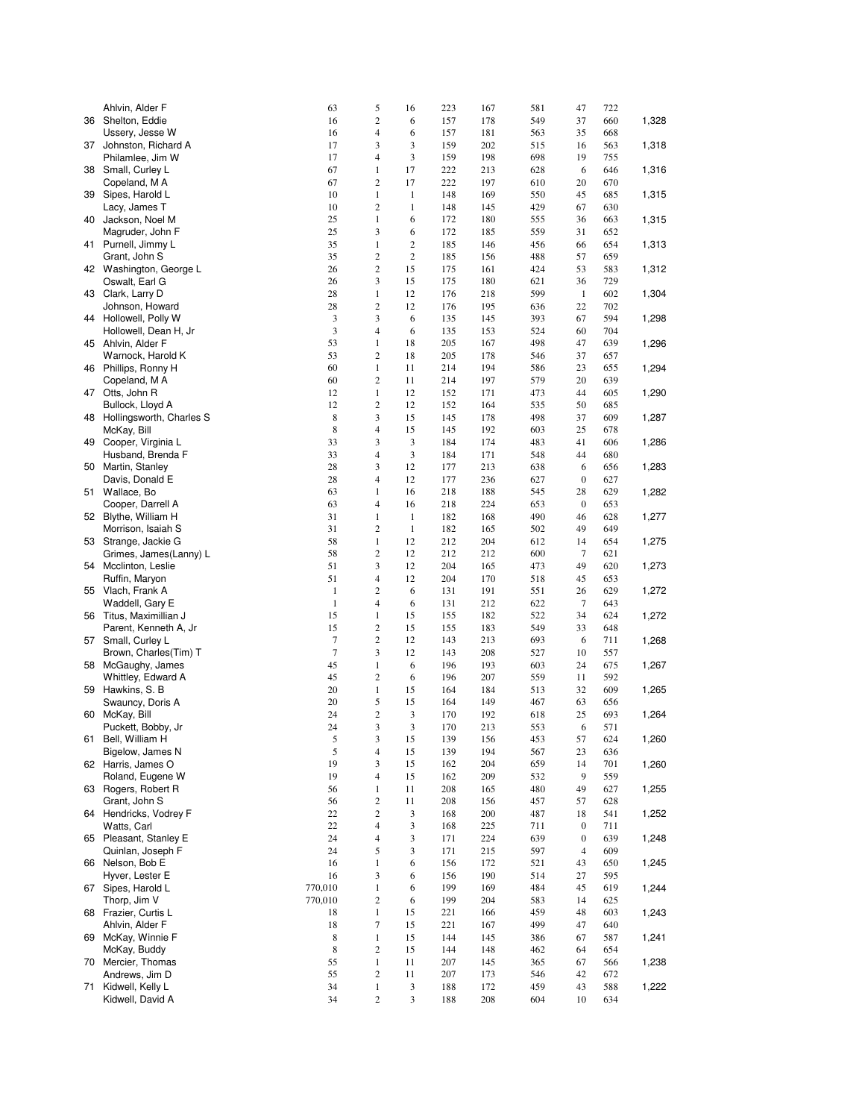|    | Ahlvin, Alder F                           | 63                 | 5                     | 16               | 223        | 167        | 581        | 47                     | 722        |       |
|----|-------------------------------------------|--------------------|-----------------------|------------------|------------|------------|------------|------------------------|------------|-------|
|    | 36 Shelton, Eddie                         | 16                 | $\overline{c}$        | 6                | 157        | 178        | 549        | 37                     | 660        | 1,328 |
|    | Ussery, Jesse W                           | 16                 | 4                     | 6                | 157        | 181        | 563        | 35                     | 668        |       |
|    | 37 Johnston, Richard A                    | 17                 | 3                     | 3                | 159        | 202        | 515        | 16                     | 563        | 1,318 |
|    | Philamlee, Jim W                          | 17                 | 4                     | 3                | 159        | 198        | 698        | 19                     | 755        |       |
|    | 38 Small, Curley L                        | 67                 | 1                     | 17               | 222        | 213        | 628        | 6                      | 646        | 1,316 |
|    | Copeland, MA                              | 67                 | $\overline{c}$        | 17               | 222        | 197        | 610        | 20                     | 670        |       |
|    | 39 Sipes, Harold L                        | 10                 | $\mathbf{1}$          | $\mathbf{1}$     | 148        | 169        | 550        | 45                     | 685        | 1,315 |
| 40 | Lacy, James T                             | 10                 | 2<br>$\mathbf{1}$     | $\,1$            | 148        | 145        | 429        | 67                     | 630        |       |
|    | Jackson, Noel M<br>Magruder, John F       | 25<br>25           | 3                     | 6<br>6           | 172<br>172 | 180<br>185 | 555<br>559 | 36<br>31               | 663<br>652 | 1,315 |
|    | 41 Purnell, Jimmy L                       | 35                 | $\mathbf{1}$          | $\overline{c}$   | 185        | 146        | 456        | 66                     | 654        | 1,313 |
|    | Grant, John S                             | 35                 | 2                     | $\boldsymbol{2}$ | 185        | 156        | 488        | 57                     | 659        |       |
|    | 42 Washington, George L                   | 26                 | $\overline{c}$        | 15               | 175        | 161        | 424        | 53                     | 583        | 1,312 |
|    | Oswalt, Earl G                            | 26                 | 3                     | 15               | 175        | 180        | 621        | 36                     | 729        |       |
|    | 43 Clark, Larry D                         | 28                 | $\mathbf{1}$          | 12               | 176        | 218        | 599        | $\mathbf{1}$           | 602        | 1,304 |
|    | Johnson, Howard                           | 28                 | 2                     | 12               | 176        | 195        | 636        | 22                     | 702        |       |
|    | 44 Hollowell, Polly W                     | 3                  | 3                     | 6                | 135        | 145        | 393        | 67                     | 594        | 1,298 |
|    | Hollowell, Dean H, Jr                     | 3                  | $\overline{4}$        | 6                | 135        | 153        | 524        | 60                     | 704        |       |
|    | 45 Ahlvin, Alder F                        | 53                 | $\mathbf{1}$          | 18               | 205        | 167        | 498        | 47                     | 639        | 1,296 |
|    | Warnock, Harold K                         | 53                 | 2                     | 18               | 205        | 178        | 546        | 37                     | 657        |       |
|    | 46 Phillips, Ronny H                      | 60                 | $\mathbf{1}$          | 11               | 214        | 194        | 586        | 23                     | 655        | 1,294 |
|    | Copeland, MA                              | 60                 | $\overline{c}$        | 11               | 214        | 197        | 579        | 20                     | 639        |       |
|    | 47 Otts, John R                           | 12                 | $\mathbf{1}$          | 12               | 152        | 171        | 473        | 44                     | 605        | 1,290 |
|    | Bullock, Lloyd A                          | 12                 | 2                     | 12               | 152        | 164        | 535        | 50                     | 685        |       |
|    | 48 Hollingsworth, Charles S               | 8                  | 3                     | 15               | 145        | 178        | 498        | 37                     | 609        | 1,287 |
|    | McKay, Bill                               | 8                  | 4                     | 15               | 145        | 192        | 603        | 25                     | 678        |       |
| 49 | Cooper, Virginia L                        | 33                 | 3                     | 3                | 184        | 174        | 483        | 41                     | 606        | 1,286 |
|    | Husband, Brenda F                         | 33                 | 4                     | 3                | 184        | 171        | 548        | 44                     | 680        |       |
| 50 | Martin, Stanley                           | 28                 | 3                     | 12               | 177        | 213        | 638        | 6                      | 656        | 1,283 |
|    | Davis, Donald E                           | 28                 | $\overline{4}$        | 12               | 177        | 236        | 627        | $\boldsymbol{0}$       | 627        |       |
|    | 51 Wallace, Bo                            | 63<br>63           | 1<br>4                | 16<br>16         | 218<br>218 | 188<br>224 | 545<br>653 | 28<br>$\boldsymbol{0}$ | 629<br>653 | 1,282 |
|    | Cooper, Darrell A<br>52 Blythe, William H | 31                 | $\mathbf{1}$          | $\mathbf{1}$     | 182        | 168        | 490        | 46                     | 628        | 1,277 |
|    | Morrison, Isaiah S                        | 31                 | $\sqrt{2}$            | $\mathbf{1}$     | 182        | 165        | 502        | 49                     | 649        |       |
|    | 53 Strange, Jackie G                      | 58                 | $\mathbf{1}$          | 12               | 212        | 204        | 612        | 14                     | 654        | 1,275 |
|    | Grimes, James(Lanny) L                    | 58                 | $\overline{c}$        | 12               | 212        | 212        | 600        | $\tau$                 | 621        |       |
|    | 54 Mcclinton, Leslie                      | 51                 | 3                     | 12               | 204        | 165        | 473        | 49                     | 620        | 1,273 |
|    | Ruffin, Maryon                            | 51                 | 4                     | 12               | 204        | 170        | 518        | 45                     | 653        |       |
|    | 55 Vlach, Frank A                         | $\mathbf{1}$       | $\overline{c}$        | 6                | 131        | 191        | 551        | 26                     | 629        | 1,272 |
|    | Waddell, Gary E                           | $1\,$              | 4                     | 6                | 131        | 212        | 622        | 7                      | 643        |       |
|    | 56 Titus, Maximillian J                   | 15                 | $\mathbf{1}$          | 15               | 155        | 182        | 522        | 34                     | 624        | 1,272 |
|    | Parent, Kenneth A, Jr                     | 15                 | 2                     | 15               | 155        | 183        | 549        | 33                     | 648        |       |
| 57 | Small, Curley L                           | 7                  | $\overline{c}$        | 12               | 143        | 213        | 693        | 6                      | 711        | 1,268 |
|    | Brown, Charles(Tim) T                     | $\tau$             | 3                     | 12               | 143        | 208        | 527        | 10                     | 557        |       |
|    | 58 McGaughy, James                        | 45                 | $\,1$                 | 6                | 196        | 193        | 603        | 24                     | 675        | 1,267 |
|    | Whittley, Edward A                        | 45                 | $\overline{c}$        | 6                | 196        | 207        | 559        | 11                     | 592        |       |
| 59 | Hawkins, S. B                             | 20                 | $\,1$                 | 15               | 164        | 184        | 513        | 32                     | 609        | 1,265 |
|    | Swauncy, Doris A                          | 20                 | 5                     | 15               | 164        | 149        | 467        | 63                     | 656        |       |
| 60 | McKay, Bill                               | 24                 | 2                     | 3                | 170        | 192        | 618        | 25                     | 693        | 1,264 |
|    | Puckett, Bobby, Jr<br>Bell, William H     | 24                 | 3                     | 3                | 170        | 213        | 553        | 6                      | 571        | 1,260 |
| 61 | Bigelow, James N                          | 5<br>$\mathfrak s$ | 3<br>4                | 15<br>15         | 139<br>139 | 156<br>194 | 453<br>567 | 57<br>23               | 624<br>636 |       |
|    | 62 Harris, James O                        | 19                 | 3                     | 15               | 162        | 204        | 659        | 14                     | 701        | 1,260 |
|    | Roland, Eugene W                          | 19                 | 4                     | 15               | 162        | 209        | 532        | 9                      | 559        |       |
|    | 63 Rogers, Robert R                       | 56                 | $\,1$                 | 11               | 208        | 165        | 480        | 49                     | 627        | 1,255 |
|    | Grant, John S                             | 56                 | $\overline{c}$        | 11               | 208        | 156        | 457        | 57                     | 628        |       |
|    | 64 Hendricks, Vodrey F                    | 22                 | $\overline{c}$        | 3                | 168        | 200        | 487        | 18                     | 541        | 1,252 |
|    | Watts, Carl                               | 22                 | 4                     | 3                | 168        | 225        | 711        | $\boldsymbol{0}$       | 711        |       |
|    | 65 Pleasant, Stanley E                    | 24                 | 4                     | 3                | 171        | 224        | 639        | $\boldsymbol{0}$       | 639        | 1,248 |
|    | Quinlan, Joseph F                         | 24                 | 5                     | 3                | 171        | 215        | 597        | $\overline{4}$         | 609        |       |
|    | 66 Nelson, Bob E                          | 16                 | $\,1$                 | 6                | 156        | 172        | 521        | 43                     | 650        | 1,245 |
|    | Hyver, Lester E                           | 16                 | 3                     | 6                | 156        | 190        | 514        | 27                     | 595        |       |
| 67 | Sipes, Harold L                           | 770,010            | $\,1$                 | 6                | 199        | 169        | 484        | 45                     | 619        | 1,244 |
|    | Thorp, Jim V                              | 770,010            | $\overline{c}$        | 6                | 199        | 204        | 583        | 14                     | 625        |       |
|    | 68 Frazier, Curtis L                      | 18                 | $\mathbf{1}$          | 15               | 221        | 166        | 459        | 48                     | 603        | 1,243 |
|    | Ahlvin, Alder F                           | 18                 | 7                     | 15               | 221        | 167        | 499        | 47                     | 640        |       |
| 69 | McKay, Winnie F                           | 8                  | $\,1$                 | 15               | 144        | 145        | 386        | 67                     | 587        | 1,241 |
|    | McKay, Buddy                              | 8                  | $\overline{c}$        | 15               | 144        | 148        | 462        | 64                     | 654        |       |
|    | 70 Mercier, Thomas                        | 55                 | $\,1$                 | 11               | 207        | 145        | 365        | 67                     | 566        | 1,238 |
| 71 | Andrews, Jim D<br>Kidwell, Kelly L        | 55<br>34           | $\mathbf{2}$<br>$\,1$ | 11               | 207        | 173        | 546<br>459 | 42<br>43               | 672<br>588 |       |
|    | Kidwell, David A                          | 34                 | $\mathbf{2}$          | 3<br>3           | 188<br>188 | 172<br>208 | 604        | 10                     | 634        | 1,222 |
|    |                                           |                    |                       |                  |            |            |            |                        |            |       |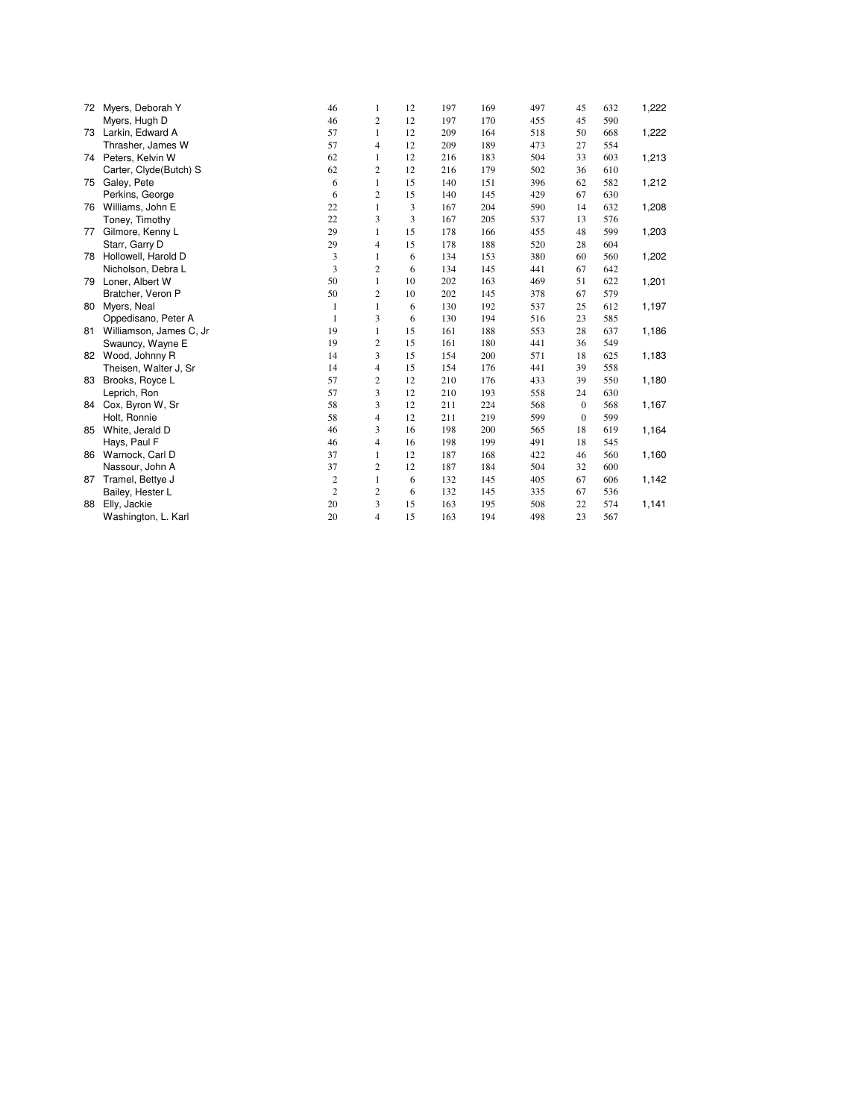| 72 | Myers, Deborah Y        | 46             | 1              | 12 | 197 | 169 | 497 | 45           | 632 | 1,222 |
|----|-------------------------|----------------|----------------|----|-----|-----|-----|--------------|-----|-------|
|    | Myers, Hugh D           | 46             | 2              | 12 | 197 | 170 | 455 | 45           | 590 |       |
| 73 | Larkin, Edward A        | 57             | 1              | 12 | 209 | 164 | 518 | 50           | 668 | 1,222 |
|    | Thrasher, James W       | 57             | 4              | 12 | 209 | 189 | 473 | 27           | 554 |       |
|    | 74 Peters, Kelvin W     | 62             | 1              | 12 | 216 | 183 | 504 | 33           | 603 | 1,213 |
|    | Carter, Clyde(Butch) S  | 62             | 2              | 12 | 216 | 179 | 502 | 36           | 610 |       |
| 75 | Galey, Pete             | 6              | $\mathbf{1}$   | 15 | 140 | 151 | 396 | 62           | 582 | 1,212 |
|    | Perkins, George         | 6              | $\overline{c}$ | 15 | 140 | 145 | 429 | 67           | 630 |       |
| 76 | Williams, John E        | 22             | $\mathbf{1}$   | 3  | 167 | 204 | 590 | 14           | 632 | 1,208 |
|    | Toney, Timothy          | 22             | 3              | 3  | 167 | 205 | 537 | 13           | 576 |       |
| 77 | Gilmore, Kenny L        | 29             | $\mathbf{1}$   | 15 | 178 | 166 | 455 | 48           | 599 | 1,203 |
|    | Starr, Garry D          | 29             | 4              | 15 | 178 | 188 | 520 | 28           | 604 |       |
| 78 | Hollowell, Harold D     | 3              | 1              | 6  | 134 | 153 | 380 | 60           | 560 | 1,202 |
|    | Nicholson, Debra L      | 3              | $\overline{c}$ | 6  | 134 | 145 | 441 | 67           | 642 |       |
| 79 | Loner, Albert W         | 50             | $\mathbf{1}$   | 10 | 202 | 163 | 469 | 51           | 622 | 1,201 |
|    | Bratcher, Veron P       | 50             | $\overline{c}$ | 10 | 202 | 145 | 378 | 67           | 579 |       |
| 80 | Myers, Neal             | $\mathbf{1}$   | $\mathbf{1}$   | 6  | 130 | 192 | 537 | 25           | 612 | 1,197 |
|    | Oppedisano, Peter A     | $\mathbf{1}$   | 3              | 6  | 130 | 194 | 516 | 23           | 585 |       |
| 81 | Williamson, James C, Jr | 19             | $\mathbf{1}$   | 15 | 161 | 188 | 553 | 28           | 637 | 1,186 |
|    | Swauncy, Wayne E        | 19             | $\overline{c}$ | 15 | 161 | 180 | 441 | 36           | 549 |       |
| 82 | Wood, Johnny R          | 14             | 3              | 15 | 154 | 200 | 571 | 18           | 625 | 1,183 |
|    | Theisen, Walter J, Sr   | 14             | $\overline{4}$ | 15 | 154 | 176 | 441 | 39           | 558 |       |
| 83 | Brooks, Royce L         | 57             | $\overline{2}$ | 12 | 210 | 176 | 433 | 39           | 550 | 1,180 |
|    | Leprich, Ron            | 57             | 3              | 12 | 210 | 193 | 558 | 24           | 630 |       |
| 84 | Cox, Byron W, Sr        | 58             | 3              | 12 | 211 | 224 | 568 | $\bf{0}$     | 568 | 1,167 |
|    | Holt, Ronnie            | 58             | $\overline{4}$ | 12 | 211 | 219 | 599 | $\mathbf{0}$ | 599 |       |
| 85 | White, Jerald D         | 46             | 3              | 16 | 198 | 200 | 565 | 18           | 619 | 1,164 |
|    | Hays, Paul F            | 46             | $\overline{4}$ | 16 | 198 | 199 | 491 | 18           | 545 |       |
| 86 | Warnock, Carl D         | 37             | 1              | 12 | 187 | 168 | 422 | 46           | 560 | 1,160 |
|    | Nassour, John A         | 37             | $\overline{c}$ | 12 | 187 | 184 | 504 | 32           | 600 |       |
| 87 | Tramel, Bettye J        | $\mathbf{2}$   | $\mathbf{1}$   | 6  | 132 | 145 | 405 | 67           | 606 | 1,142 |
|    | Bailey, Hester L        | $\overline{c}$ | $\overline{c}$ | 6  | 132 | 145 | 335 | 67           | 536 |       |
| 88 | Elly, Jackie            | 20             | 3              | 15 | 163 | 195 | 508 | 22           | 574 | 1,141 |
|    | Washington, L. Karl     | 20             | $\overline{4}$ | 15 | 163 | 194 | 498 | 23           | 567 |       |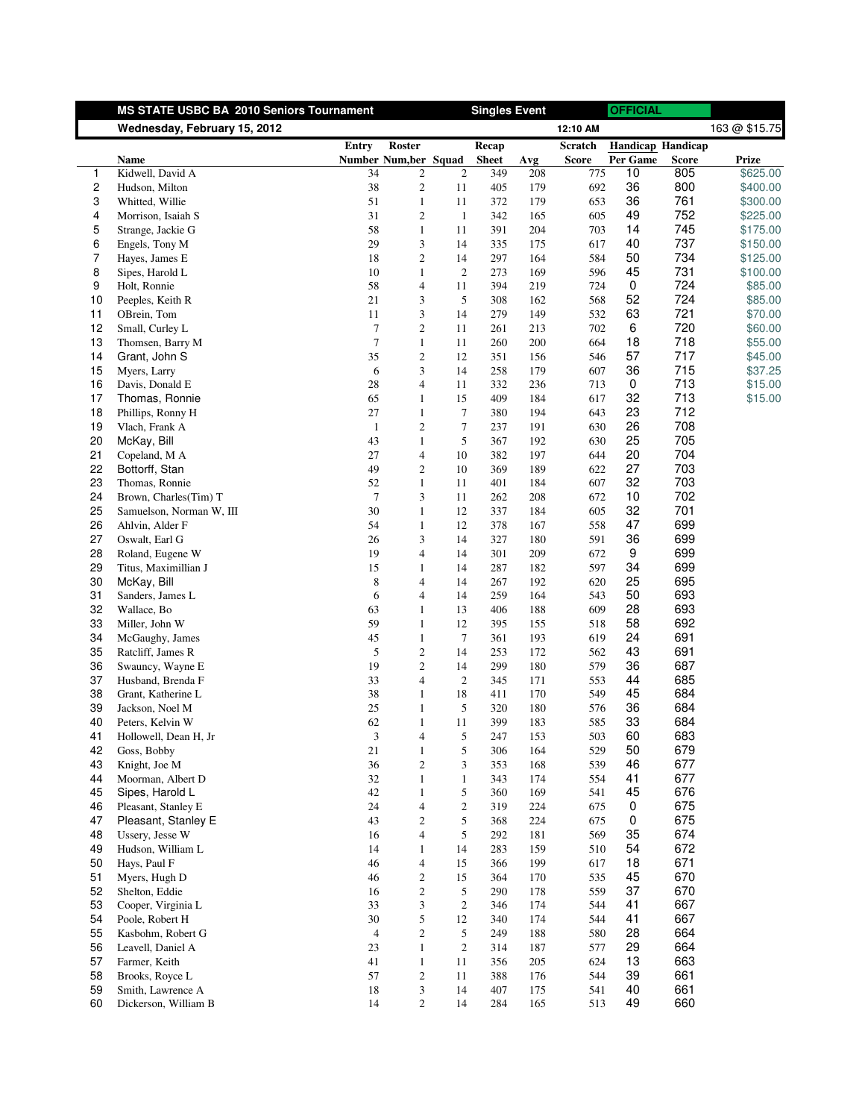|                | <b>MS STATE USBC BA 2010 Seniors Tournament</b> |                |                              |                  | <b>Singles Event</b> |            |              | <b>OFFICIAL</b>          |              |                    |
|----------------|-------------------------------------------------|----------------|------------------------------|------------------|----------------------|------------|--------------|--------------------------|--------------|--------------------|
|                | Wednesday, February 15, 2012                    |                |                              |                  |                      |            | 12:10 AM     |                          |              | 163 @ \$15.75      |
|                |                                                 | Entry          | <b>Roster</b>                |                  | Recap                |            | Scratch      | <b>Handicap Handicap</b> |              |                    |
|                | Name                                            |                | Number Num, ber Squad        |                  | <b>Sheet</b>         | Avg        | <b>Score</b> | Per Game                 | <b>Score</b> | Prize              |
| 1              | Kidwell, David A                                | 34             | $\mathfrak{2}$               | $\overline{2}$   | 349                  | 208        | 775          | 10                       | 805          | \$625.00           |
| $\overline{c}$ | Hudson, Milton                                  | 38             | 2                            | 11               | 405                  | 179        | 692          | 36                       | 800          | \$400.00           |
| 3              | Whitted, Willie                                 | 51             | $\mathbf{1}$                 | 11               | 372                  | 179        | 653          | 36                       | 761          | \$300.00           |
| 4              | Morrison, Isaiah S                              | 31             | $\overline{c}$               | $\mathbf{1}$     | 342                  | 165        | 605          | 49                       | 752          | \$225.00           |
| 5              | Strange, Jackie G                               | 58             | $\mathbf{1}$                 | 11               | 391                  | 204        | 703          | 14                       | 745          | \$175.00           |
| 6              | Engels, Tony M                                  | 29             | 3                            | 14               | 335                  | 175        | 617          | 40                       | 737          | \$150.00           |
| 7              | Hayes, James E                                  | 18             | $\boldsymbol{2}$             | 14               | 297                  | 164        | 584          | 50                       | 734          | \$125.00           |
| 8              | Sipes, Harold L                                 | 10             | $\mathbf{1}$                 | 2                | 273                  | 169        | 596          | 45                       | 731          | \$100.00           |
| 9              | Holt, Ronnie                                    | 58<br>21       | $\overline{4}$               | 11<br>5          | 394                  | 219        | 724          | 0<br>52                  | 724<br>724   | \$85.00<br>\$85.00 |
| 10<br>11       | Peeples, Keith R<br>OBrein, Tom                 | 11             | 3<br>3                       | 14               | 308<br>279           | 162<br>149 | 568<br>532   | 63                       | 721          | \$70.00            |
| 12             | Small, Curley L                                 | 7              | $\overline{c}$               | 11               | 261                  | 213        | 702          | 6                        | 720          | \$60.00            |
| 13             | Thomsen, Barry M                                | $\tau$         | $\mathbf{1}$                 | 11               | 260                  | 200        | 664          | 18                       | 718          | \$55.00            |
| 14             | Grant, John S                                   | 35             | $\overline{c}$               | 12               | 351                  | 156        | 546          | 57                       | 717          | \$45.00            |
| 15             | Myers, Larry                                    | 6              | 3                            | 14               | 258                  | 179        | 607          | 36                       | 715          | \$37.25            |
| 16             | Davis, Donald E                                 | 28             | $\overline{4}$               | 11               | 332                  | 236        | 713          | 0                        | 713          | \$15.00            |
| 17             | Thomas, Ronnie                                  | 65             | $\mathbf{1}$                 | 15               | 409                  | 184        | 617          | 32                       | 713          | \$15.00            |
| 18             | Phillips, Ronny H                               | 27             | $\mathbf{1}$                 | $\boldsymbol{7}$ | 380                  | 194        | 643          | 23                       | 712          |                    |
| 19             | Vlach, Frank A                                  | $\mathbf{1}$   | $\overline{c}$               | 7                | 237                  | 191        | 630          | 26                       | 708          |                    |
| 20             | McKay, Bill                                     | 43             | $\mathbf{1}$                 | 5                | 367                  | 192        | 630          | 25                       | 705          |                    |
| 21             | Copeland, M A                                   | 27             | $\overline{4}$               | 10               | 382                  | 197        | 644          | 20                       | 704          |                    |
| 22             | Bottorff, Stan                                  | 49             | $\boldsymbol{2}$             | 10               | 369                  | 189        | 622          | 27                       | 703          |                    |
| 23             | Thomas, Ronnie                                  | 52             | $\mathbf{1}$                 | 11               | 401                  | 184        | 607          | 32                       | 703          |                    |
| 24             | Brown, Charles(Tim) T                           | $\tau$         | 3                            | 11               | 262                  | 208        | 672          | 10                       | 702          |                    |
| 25             | Samuelson, Norman W, III                        | 30             | $\mathbf{1}$                 | 12               | 337                  | 184        | 605          | 32                       | 701          |                    |
| 26             | Ahlvin, Alder F                                 | 54             | $\mathbf{1}$                 | 12               | 378                  | 167        | 558          | 47                       | 699          |                    |
| 27             | Oswalt, Earl G                                  | 26             | 3                            | 14               | 327                  | 180        | 591          | 36                       | 699          |                    |
| 28             | Roland, Eugene W                                | 19             | 4                            | 14               | 301                  | 209        | 672          | 9                        | 699          |                    |
| 29             | Titus, Maximillian J                            | 15             | 1                            | 14               | 287                  | 182        | 597          | 34                       | 699          |                    |
| 30             | McKay, Bill                                     | 8              | $\overline{4}$               | 14               | 267                  | 192        | 620          | 25                       | 695          |                    |
| 31             | Sanders, James L                                | 6              | $\overline{4}$               | 14               | 259                  | 164        | 543          | 50                       | 693          |                    |
| 32             | Wallace, Bo                                     | 63             | $\mathbf{1}$                 | 13               | 406                  | 188        | 609          | 28                       | 693          |                    |
| 33             | Miller, John W                                  | 59             | $\mathbf{1}$                 | 12               | 395                  | 155        | 518          | 58                       | 692          |                    |
| 34             | McGaughy, James                                 | 45             | $\mathbf{1}$                 | 7                | 361                  | 193        | 619          | 24                       | 691          |                    |
| 35             | Ratcliff, James R                               | 5              | $\overline{c}$               | 14               | 253                  | 172        | 562          | 43                       | 691          |                    |
| 36             | Swauncy, Wayne E                                | 19             | $\overline{c}$               | 14               | 299                  | 180        | 579          | 36                       | 687          |                    |
| 37             | Husband, Brenda F                               | 33             | $\overline{4}$               | 2                | 345                  | 171        | 553          | 44                       | 685<br>684   |                    |
| 38<br>39       | Grant, Katherine L                              | 38<br>25       | $\mathbf{1}$<br>$\mathbf{1}$ | 18<br>5          | 411<br>320           | 170<br>180 | 549<br>576   | 45<br>36                 | 684          |                    |
| 40             | Jackson, Noel M<br>Peters, Kelvin W             | 62             | $\mathbf{1}$                 | 11               | 399                  | 183        | 585          | 33                       | 684          |                    |
| 41             | Hollowell, Dean H, Jr                           | 3              | 4                            | 5                | 247                  | 153        | 503          | 60                       | 683          |                    |
| 42             | Goss, Bobby                                     | 21             | $\mathbf{1}$                 | 5                | 306                  | 164        | 529          | 50                       | 679          |                    |
| 43             | Knight, Joe M                                   | 36             | $\sqrt{2}$                   | 3                | 353                  | 168        | 539          | 46                       | 677          |                    |
| 44             | Moorman, Albert D                               | 32             | $\mathbf{1}$                 | $\mathbf{1}$     | 343                  | 174        | 554          | 41                       | 677          |                    |
| 45             | Sipes, Harold L                                 | 42             | $\mathbf{1}$                 | 5                | 360                  | 169        | 541          | 45                       | 676          |                    |
| 46             | Pleasant, Stanley E                             | 24             | $\overline{4}$               | $\overline{c}$   | 319                  | 224        | 675          | 0                        | 675          |                    |
| 47             | Pleasant, Stanley E                             | 43             | $\overline{c}$               | 5                | 368                  | 224        | 675          | 0                        | 675          |                    |
| 48             | Ussery, Jesse W                                 | 16             | $\overline{\mathcal{L}}$     | 5                | 292                  | 181        | 569          | 35                       | 674          |                    |
| 49             | Hudson, William L                               | 14             | $\mathbf{1}$                 | 14               | 283                  | 159        | 510          | 54                       | 672          |                    |
| 50             | Hays, Paul F                                    | 46             | $\overline{4}$               | 15               | 366                  | 199        | 617          | 18                       | 671          |                    |
| 51             | Myers, Hugh D                                   | 46             | $\overline{c}$               | 15               | 364                  | 170        | 535          | 45                       | 670          |                    |
| 52             | Shelton, Eddie                                  | 16             | $\overline{c}$               | 5                | 290                  | 178        | 559          | 37                       | 670          |                    |
| 53             | Cooper, Virginia L                              | 33             | 3                            | $\boldsymbol{2}$ | 346                  | 174        | 544          | 41                       | 667          |                    |
| 54             | Poole, Robert H                                 | 30             | 5                            | 12               | 340                  | 174        | 544          | 41                       | 667          |                    |
| 55             | Kasbohm, Robert G                               | $\overline{4}$ | $\mathfrak{2}$               | 5                | 249                  | 188        | 580          | 28                       | 664          |                    |
| 56             | Leavell, Daniel A                               | 23             | $\mathbf{1}$                 | $\boldsymbol{2}$ | 314                  | 187        | 577          | 29                       | 664          |                    |
| 57             | Farmer, Keith                                   | 41             | $\mathbf{1}$                 | 11               | 356                  | 205        | 624          | 13                       | 663          |                    |
| 58             | Brooks, Royce L                                 | 57             | $\overline{c}$               | 11               | 388                  | 176        | 544          | 39                       | 661          |                    |
| 59             | Smith, Lawrence A                               | 18             | $\ensuremath{\mathfrak{Z}}$  | 14               | 407                  | 175        | 541          | 40                       | 661          |                    |
| 60             | Dickerson, William B                            | 14             | $\sqrt{2}$                   | 14               | 284                  | 165        | 513          | 49                       | 660          |                    |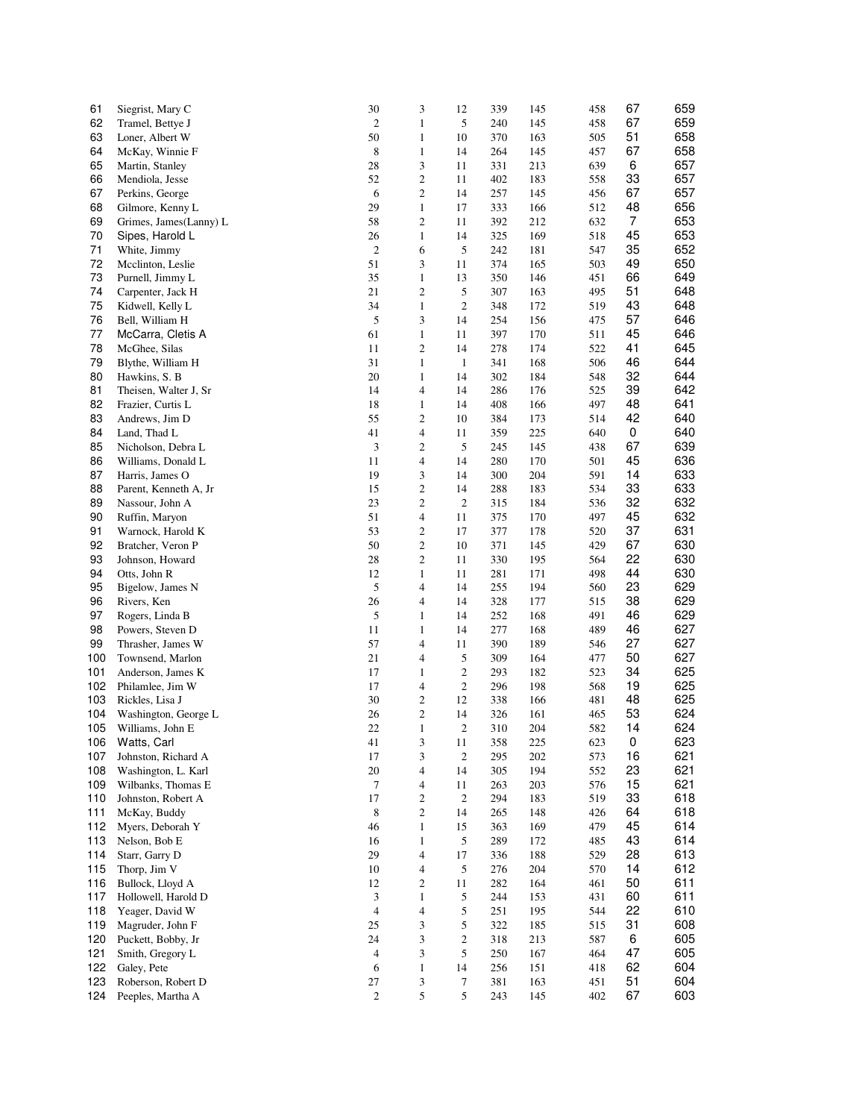| 61  | Siegrist, Mary C       | 30                          | 3                           | 12             | 339 | 145     | 458 | 67             | 659 |
|-----|------------------------|-----------------------------|-----------------------------|----------------|-----|---------|-----|----------------|-----|
| 62  | Tramel, Bettye J       | $\mathbf{2}$                | $\mathbf{1}$                | 5              | 240 | 145     | 458 | 67             | 659 |
| 63  | Loner, Albert W        | 50                          | $\mathbf{1}$                | 10             | 370 | 163     | 505 | 51             | 658 |
| 64  | McKay, Winnie F        | 8                           | $\mathbf{1}$                | 14             | 264 | 145     | 457 | 67             | 658 |
|     |                        |                             |                             |                |     |         |     |                |     |
| 65  | Martin, Stanley        | 28                          | 3                           | 11             | 331 | 213     | 639 | 6              | 657 |
| 66  | Mendiola, Jesse        | 52                          | $\sqrt{2}$                  | 11             | 402 | 183     | 558 | 33             | 657 |
| 67  | Perkins, George        | 6                           | $\mathbf{2}$                | 14             | 257 | 145     | 456 | 67             | 657 |
| 68  | Gilmore, Kenny L       | 29                          | $\mathbf{1}$                | 17             | 333 | 166     | 512 | 48             | 656 |
| 69  | Grimes, James(Lanny) L | 58                          | $\sqrt{2}$                  | 11             | 392 | 212     | 632 | $\overline{7}$ | 653 |
| 70  | Sipes, Harold L        | 26                          | $\mathbf{1}$                | 14             | 325 | 169     | 518 | 45             | 653 |
| 71  | White, Jimmy           | $\mathbf{2}$                | 6                           | 5              | 242 | 181     | 547 | 35             | 652 |
| 72  | Mcclinton, Leslie      | 51                          | 3                           | 11             | 374 | 165     | 503 | 49             | 650 |
| 73  | Purnell, Jimmy L       | 35                          | $\mathbf{1}$                | 13             | 350 | 146     | 451 | 66             | 649 |
| 74  | Carpenter, Jack H      | 21                          | $\overline{\mathbf{c}}$     | 5              | 307 | 163     | 495 | 51             | 648 |
| 75  | Kidwell, Kelly L       | 34                          | $\mathbf{1}$                | $\overline{c}$ | 348 | 172     | 519 | 43             | 648 |
| 76  |                        | 5                           | 3                           |                | 254 | 156     |     | 57             | 646 |
|     | Bell, William H        |                             |                             | 14             |     |         | 475 |                |     |
| 77  | McCarra, Cletis A      | 61                          | $\mathbf{1}$                | 11             | 397 | 170     | 511 | 45             | 646 |
| 78  | McGhee, Silas          | 11                          | $\overline{c}$              | 14             | 278 | 174     | 522 | 41             | 645 |
| 79  | Blythe, William H      | 31                          | $\mathbf{1}$                | $\mathbf{1}$   | 341 | 168     | 506 | 46             | 644 |
| 80  | Hawkins, S. B          | 20                          | $\mathbf{1}$                | 14             | 302 | 184     | 548 | 32             | 644 |
| 81  | Theisen, Walter J, Sr  | 14                          | $\overline{4}$              | 14             | 286 | 176     | 525 | 39             | 642 |
| 82  | Frazier, Curtis L      | 18                          | $\mathbf{1}$                | 14             | 408 | 166     | 497 | 48             | 641 |
| 83  | Andrews, Jim D         | 55                          | 2                           | 10             | 384 | 173     | 514 | 42             | 640 |
| 84  | Land, Thad L           | 41                          | $\overline{4}$              | 11             | 359 | 225     | 640 | 0              | 640 |
| 85  | Nicholson, Debra L     | 3                           | $\boldsymbol{2}$            | 5              | 245 | 145     | 438 | 67             | 639 |
| 86  | Williams, Donald L     | 11                          | $\overline{\mathcal{L}}$    | 14             | 280 | 170     | 501 | 45             | 636 |
| 87  | Harris, James O        | 19                          | 3                           | 14             | 300 | 204     | 591 | 14             | 633 |
|     |                        |                             |                             |                |     |         |     |                |     |
| 88  | Parent, Kenneth A, Jr  | 15                          | $\boldsymbol{2}$            | 14             | 288 | 183     | 534 | 33             | 633 |
| 89  | Nassour, John A        | 23                          | $\boldsymbol{2}$            | $\overline{c}$ | 315 | 184     | 536 | 32             | 632 |
| 90  | Ruffin, Maryon         | 51                          | $\overline{4}$              | 11             | 375 | 170     | 497 | 45             | 632 |
| 91  | Warnock, Harold K      | 53                          | $\boldsymbol{2}$            | 17             | 377 | 178     | 520 | 37             | 631 |
| 92  | Bratcher, Veron P      | 50                          | $\boldsymbol{2}$            | 10             | 371 | 145     | 429 | 67             | 630 |
| 93  | Johnson, Howard        | 28                          | $\boldsymbol{2}$            | 11             | 330 | 195     | 564 | 22             | 630 |
| 94  | Otts, John R           | 12                          | $\mathbf{1}$                | 11             | 281 | 171     | 498 | 44             | 630 |
| 95  | Bigelow, James N       | 5                           | $\overline{4}$              | 14             | 255 | 194     | 560 | 23             | 629 |
| 96  | Rivers, Ken            | 26                          | $\overline{4}$              | 14             | 328 | 177     | 515 | 38             | 629 |
| 97  | Rogers, Linda B        | 5                           | $\mathbf{1}$                | 14             | 252 | 168     | 491 | 46             | 629 |
| 98  | Powers, Steven D       | 11                          | $\mathbf{1}$                | 14             | 277 | 168     | 489 | 46             | 627 |
| 99  | Thrasher, James W      | 57                          | $\overline{\mathcal{L}}$    | 11             | 390 | 189     | 546 | 27             | 627 |
| 100 |                        | 21                          |                             |                |     | 164     |     | 50             | 627 |
|     | Townsend, Marlon       |                             | $\overline{\mathcal{L}}$    | 5              | 309 |         | 477 |                |     |
| 101 | Anderson, James K      | 17                          | $\mathbf{1}$                | $\overline{c}$ | 293 | 182     | 523 | 34             | 625 |
| 102 | Philamlee, Jim W       | 17                          | $\overline{4}$              | $\overline{c}$ | 296 | 198     | 568 | 19             | 625 |
| 103 | Rickles, Lisa J        | 30                          | $\boldsymbol{2}$            | 12             | 338 | 166     | 481 | 48             | 625 |
| 104 | Washington, George L   | 26                          | $\boldsymbol{2}$            | 14             | 326 | 161     | 465 | 53             | 624 |
| 105 | Williams, John E       | 22                          | $\mathbf{1}$                | $\overline{c}$ | 310 | 204     | 582 | 14             | 624 |
| 106 | Watts, Carl            | 41                          | 3                           | 11             | 358 | 225     | 623 | 0              | 623 |
| 107 | Johnston, Richard A    | 17                          | 3                           | $\mathbf{2}$   | 295 | $202\,$ | 573 | 16             | 621 |
| 108 | Washington, L. Karl    | 20                          | $\overline{4}$              | 14             | 305 | 194     | 552 | 23             | 621 |
| 109 | Wilbanks, Thomas E     | $\tau$                      | $\overline{4}$              | 11             | 263 | 203     | 576 | 15             | 621 |
| 110 | Johnston, Robert A     | 17                          | $\sqrt{2}$                  | $\mathbf{2}$   | 294 | 183     | 519 | 33             | 618 |
| 111 | McKay, Buddy           | 8                           | $\mathbf{2}$                | 14             | 265 | 148     | 426 | 64             | 618 |
| 112 | Myers, Deborah Y       | 46                          |                             |                |     |         | 479 | 45             | 614 |
|     |                        |                             | $\mathbf{1}$                | 15             | 363 | 169     |     |                |     |
| 113 | Nelson, Bob E          | 16                          | $\mathbf{1}$                | 5              | 289 | 172     | 485 | 43             | 614 |
| 114 | Starr, Garry D         | 29                          | $\overline{4}$              | 17             | 336 | 188     | 529 | 28             | 613 |
| 115 | Thorp, Jim V           | 10                          | $\overline{4}$              | $\sqrt{5}$     | 276 | 204     | 570 | 14             | 612 |
| 116 | Bullock, Lloyd A       | 12                          | $\mathbf{2}$                | 11             | 282 | 164     | 461 | 50             | 611 |
| 117 | Hollowell, Harold D    | $\ensuremath{\mathfrak{Z}}$ | $\mathbf{1}$                | 5              | 244 | 153     | 431 | 60             | 611 |
| 118 | Yeager, David W        | 4                           | $\overline{4}$              | 5              | 251 | 195     | 544 | 22             | 610 |
| 119 | Magruder, John F       | 25                          | $\ensuremath{\mathfrak{Z}}$ | 5              | 322 | 185     | 515 | 31             | 608 |
| 120 | Puckett, Bobby, Jr     | 24                          | $\ensuremath{\mathfrak{Z}}$ | $\overline{c}$ | 318 | 213     | 587 | 6              | 605 |
| 121 | Smith, Gregory L       | $\overline{4}$              | 3                           | 5              | 250 | 167     | 464 | 47             | 605 |
| 122 | Galey, Pete            | 6                           | $\mathbf{1}$                | 14             | 256 | 151     | 418 | 62             | 604 |
| 123 |                        | 27                          | $\ensuremath{\mathfrak{Z}}$ | $\tau$         | 381 |         |     | 51             | 604 |
|     | Roberson, Robert D     |                             |                             |                |     | 163     | 451 |                |     |
| 124 | Peeples, Martha A      | $\mathbf{2}$                | 5                           | 5              | 243 | 145     | 402 | 67             | 603 |